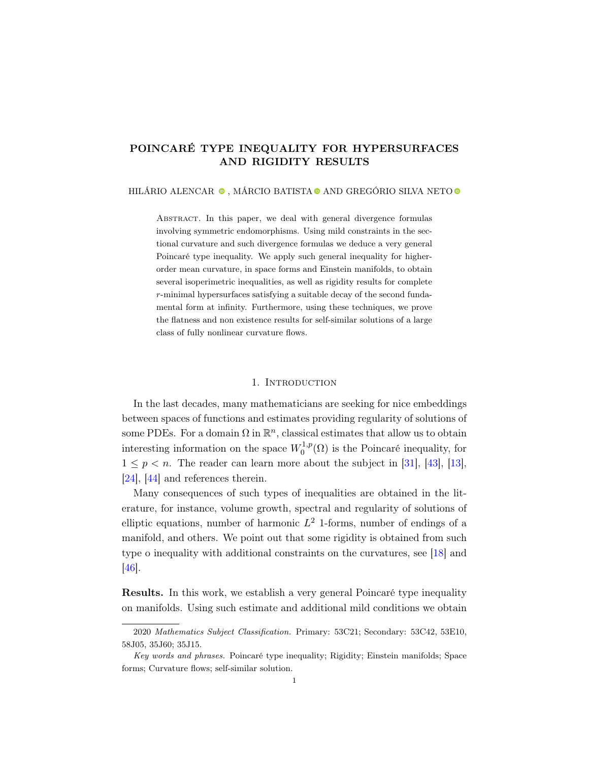# POINCARÉ TYPE INEQUALITY FOR HYPERSURFACES AND RIGIDITY RESULTS

HILÁRIO ALENCAR $\bullet$ , MÁRCIO BATISTA $\bullet$  AND GREGÓRIO SILVA NETO $\bullet$ 

ABSTRACT. In this paper, we deal with general divergence formulas involving symmetric endomorphisms. Using mild constraints in the sectional curvature and such divergence formulas we deduce a very general Poincaré type inequality. We apply such general inequality for higherorder mean curvature, in space forms and Einstein manifolds, to obtain several isoperimetric inequalities, as well as rigidity results for complete r-minimal hypersurfaces satisfying a suitable decay of the second fundamental form at infinity. Furthermore, using these techniques, we prove the flatness and non existence results for self-similar solutions of a large class of fully nonlinear curvature flows.

#### 1. Introduction

In the last decades, many mathematicians are seeking for nice embeddings between spaces of functions and estimates providing regularity of solutions of some PDEs. For a domain  $\Omega$  in  $\mathbb{R}^n$ , classical estimates that allow us to obtain interesting information on the space  $W_0^{1,p}$  $\mathcal{O}_0^{1,p}(\Omega)$  is the Poincaré inequality, for  $1 \leq p \leq n$ . The reader can learn more about the subject in [\[31\]](#page-23-0), [\[43\]](#page-24-0), [\[13\]](#page-23-1), [\[24\]](#page-23-2), [\[44\]](#page-24-1) and references therein.

Many consequences of such types of inequalities are obtained in the literature, for instance, volume growth, spectral and regularity of solutions of elliptic equations, number of harmonic  $L^2$  1-forms, number of endings of a manifold, and others. We point out that some rigidity is obtained from such type o inequality with additional constraints on the curvatures, see [\[18\]](#page-23-3) and [\[46\]](#page-24-2).

Results. In this work, we establish a very general Poincaré type inequality on manifolds. Using such estimate and additional mild conditions we obtain

<sup>2020</sup> Mathematics Subject Classification. Primary: 53C21; Secondary: 53C42, 53E10, 58J05, 35J60; 35J15.

Key words and phrases. Poincaré type inequality; Rigidity; Einstein manifolds; Space forms; Curvature flows; self-similar solution.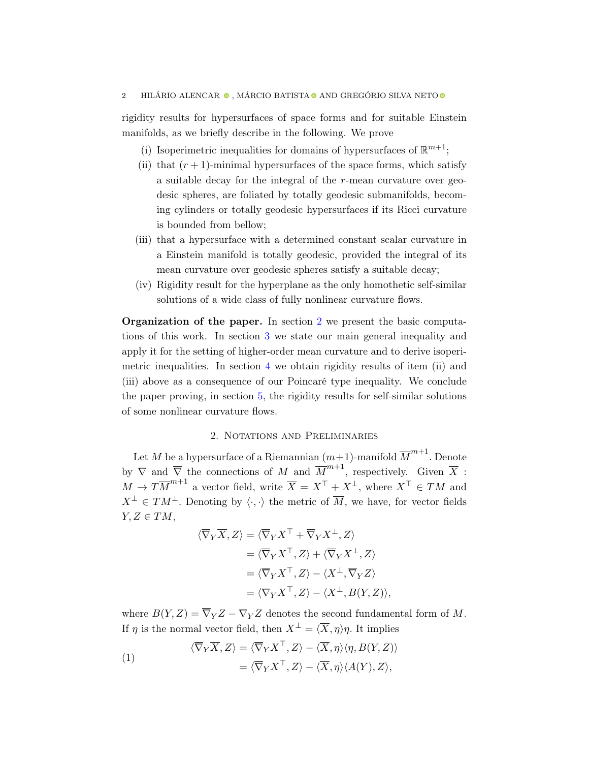rigidity results for hypersurfaces of space forms and for suitable Einstein manifolds, as we briefly describe in the following. We prove

- (i) Isoperimetric inequalities for domains of hypersurfaces of  $\mathbb{R}^{m+1}$ ;
- (ii) that  $(r + 1)$ -minimal hypersurfaces of the space forms, which satisfy a suitable decay for the integral of the r-mean curvature over geodesic spheres, are foliated by totally geodesic submanifolds, becoming cylinders or totally geodesic hypersurfaces if its Ricci curvature is bounded from bellow;
- (iii) that a hypersurface with a determined constant scalar curvature in a Einstein manifold is totally geodesic, provided the integral of its mean curvature over geodesic spheres satisfy a suitable decay;
- (iv) Rigidity result for the hyperplane as the only homothetic self-similar solutions of a wide class of fully nonlinear curvature flows.

Organization of the paper. In section [2](#page-1-0) we present the basic computations of this work. In section [3](#page-6-0) we state our main general inequality and apply it for the setting of higher-order mean curvature and to derive isoperimetric inequalities. In section [4](#page-17-0) we obtain rigidity results of item (ii) and (iii) above as a consequence of our Poincaré type inequality. We conclude the paper proving, in section [5,](#page-19-0) the rigidity results for self-similar solutions of some nonlinear curvature flows.

# 2. NOTATIONS AND PRELIMINARIES

<span id="page-1-0"></span>Let M be a hypersurface of a Riemannian  $(m+1)$ -manifold  $\overline{M}^{m+1}$ . Denote by  $\nabla$  and  $\overline{\nabla}$  the connections of M and  $\overline{M}^{m+1}$ , respectively. Given  $\overline{X}$ :  $M \to T\overline{M}^{m+1}$  a vector field, write  $\overline{X} = X^{\top} + X^{\perp}$ , where  $X^{\top} \in TM$  and  $X^{\perp} \in TM^{\perp}$ . Denoting by  $\langle \cdot, \cdot \rangle$  the metric of  $\overline{M}$ , we have, for vector fields  $Y, Z \in TM$ ,

$$
\langle \overline{\nabla}_Y \overline{X}, Z \rangle = \langle \overline{\nabla}_Y X^{\top} + \overline{\nabla}_Y X^{\perp}, Z \rangle
$$
  
\n
$$
= \langle \overline{\nabla}_Y X^{\top}, Z \rangle + \langle \overline{\nabla}_Y X^{\perp}, Z \rangle
$$
  
\n
$$
= \langle \overline{\nabla}_Y X^{\top}, Z \rangle - \langle X^{\perp}, \overline{\nabla}_Y Z \rangle
$$
  
\n
$$
= \langle \overline{\nabla}_Y X^{\top}, Z \rangle - \langle X^{\perp}, B(Y, Z) \rangle,
$$

where  $B(Y, Z) = \overline{\nabla}_Y Z - \nabla_Y Z$  denotes the second fundamental form of M. If  $\eta$  is the normal vector field, then  $X^{\perp} = \langle \overline{X}, \eta \rangle \eta$ . It implies

<span id="page-1-1"></span>(1)  
\n
$$
\langle \overline{\nabla}_Y \overline{X}, Z \rangle = \langle \overline{\nabla}_Y X^{\top}, Z \rangle - \langle \overline{X}, \eta \rangle \langle \eta, B(Y, Z) \rangle
$$
\n
$$
= \langle \overline{\nabla}_Y X^{\top}, Z \rangle - \langle \overline{X}, \eta \rangle \langle A(Y), Z \rangle,
$$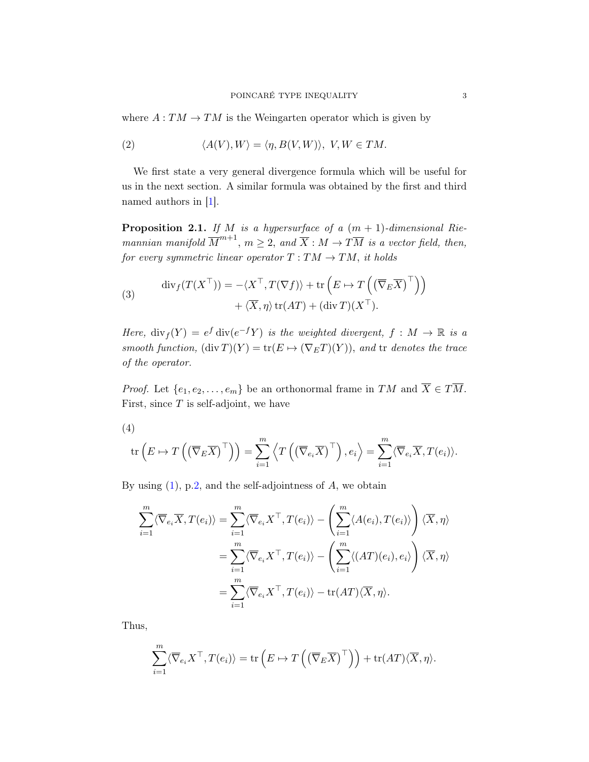where  $A: TM \rightarrow TM$  is the Weingarten operator which is given by

(2) 
$$
\langle A(V), W \rangle = \langle \eta, B(V, W) \rangle, V, W \in TM.
$$

We first state a very general divergence formula which will be useful for us in the next section. A similar formula was obtained by the first and third named authors in [\[1\]](#page-22-0).

<span id="page-2-0"></span>**Proposition 2.1.** If M is a hypersurface of a  $(m + 1)$ -dimensional Riemannian manifold  $\overline{M}^{m+1}$ ,  $m \geq 2$ , and  $\overline{X} : M \to T\overline{M}$  is a vector field, then, for every symmetric linear operator  $T: TM \rightarrow TM$ , it holds

(3) 
$$
\operatorname{div}_f(T(X^\top)) = -\langle X^\top, T(\nabla f) \rangle + \operatorname{tr}\left(E \mapsto T\left((\overline{\nabla}_E \overline{X})^\top\right)\right) + \langle \overline{X}, \eta \rangle \operatorname{tr}(AT) + (\operatorname{div} T)(X^\top).
$$

Here,  $\text{div}_f(Y) = e^f \text{div}(e^{-f}Y)$  is the weighted divergent,  $f : M \to \mathbb{R}$  is a smooth function,  $(\text{div } T)(Y) = \text{tr}(E \mapsto (\nabla_E T)(Y))$ , and tr denotes the trace of the operator.

*Proof.* Let  $\{e_1, e_2, \ldots, e_m\}$  be an orthonormal frame in  $TM$  and  $\overline{X} \in T\overline{M}$ . First, since  $T$  is self-adjoint, we have

 $\mathrm{tr}\left(E \mapsto T\left(\left(\overline{\nabla}_{E}\overline{X}\right)^{\top}\right)\right) = \sum^{m}$  $i=1$  $\left\langle T\left(\left(\overline{\nabla}_{e_{i}}\overline{X}\right)^{\top}\right),e_{i}\right\rangle =\sum^{m}$  $i=1$  $\langle \nabla_{e_i} X, T(e_i) \rangle.$ (4)

By using  $(1)$ , p[.2,](#page-1-1) and the self-adjointness of A, we obtain

$$
\sum_{i=1}^{m} \langle \overline{\nabla}_{e_i} \overline{X}, T(e_i) \rangle = \sum_{i=1}^{m} \langle \overline{\nabla}_{e_i} X^{\top}, T(e_i) \rangle - \left( \sum_{i=1}^{m} \langle A(e_i), T(e_i) \rangle \right) \langle \overline{X}, \eta \rangle
$$

$$
= \sum_{i=1}^{m} \langle \overline{\nabla}_{e_i} X^{\top}, T(e_i) \rangle - \left( \sum_{i=1}^{m} \langle (AT)(e_i), e_i \rangle \right) \langle \overline{X}, \eta \rangle
$$

$$
= \sum_{i=1}^{m} \langle \overline{\nabla}_{e_i} X^{\top}, T(e_i) \rangle - \text{tr}(AT) \langle \overline{X}, \eta \rangle.
$$

Thus,

$$
\sum_{i=1}^{m} \langle \overline{\nabla}_{e_i} X^{\top}, T(e_i) \rangle = \text{tr}\left(E \mapsto T\left(\left(\overline{\nabla}_E \overline{X}\right)^{\top}\right)\right) + \text{tr}(AT)\langle \overline{X}, \eta \rangle.
$$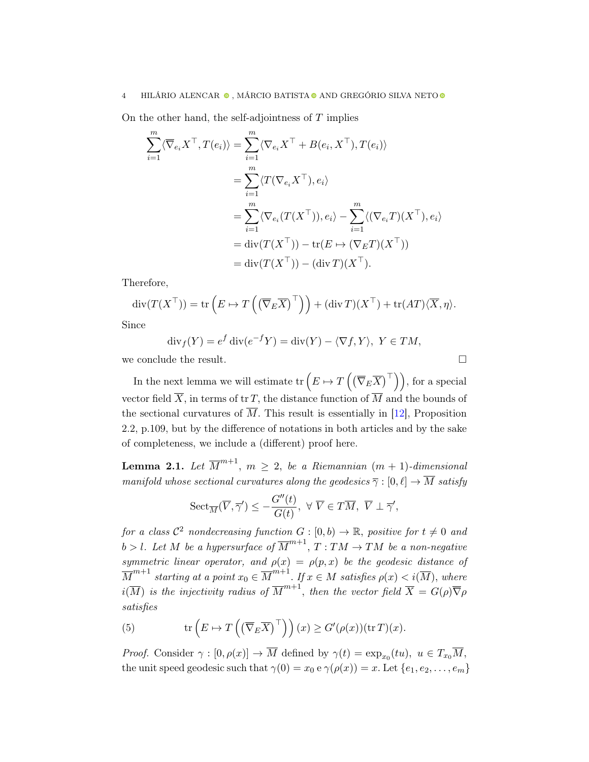On the other hand, the self-adjointness of  $T$  implies

$$
\sum_{i=1}^{m} \langle \overline{\nabla}_{e_i} X^{\top}, T(e_i) \rangle = \sum_{i=1}^{m} \langle \nabla_{e_i} X^{\top} + B(e_i, X^{\top}), T(e_i) \rangle
$$
  
\n
$$
= \sum_{i=1}^{m} \langle T(\nabla_{e_i} X^{\top}), e_i \rangle
$$
  
\n
$$
= \sum_{i=1}^{m} \langle \nabla_{e_i} (T(X^{\top})), e_i \rangle - \sum_{i=1}^{m} \langle (\nabla_{e_i} T)(X^{\top}), e_i \rangle
$$
  
\n
$$
= \text{div}(T(X^{\top})) - \text{tr}(E \mapsto (\nabla_E T)(X^{\top}))
$$
  
\n
$$
= \text{div}(T(X^{\top})) - (\text{div } T)(X^{\top}).
$$

Therefore,

$$
\operatorname{div}(T(X^{\top})) = \operatorname{tr}\left(E \mapsto T\left(\left(\overline{\nabla}_E \overline{X}\right)^{\top}\right)\right) + (\operatorname{div} T)(X^{\top}) + \operatorname{tr}(AT)\langle\overline{X}, \eta\rangle.
$$

Since

$$
\operatorname{div}_f(Y) = e^f \operatorname{div}(e^{-f}Y) = \operatorname{div}(Y) - \langle \nabla f, Y \rangle, \ Y \in TM,
$$

we conclude the result.  $\hfill \square$ 

In the next lemma we will estimate  $\text{tr}\left(E \mapsto T\left(\left(\overline{\nabla}_{E}\overline{X}\right)^{\top}\right)\right)$ , for a special vector field  $\overline{X}$ , in terms of tr T, the distance function of  $\overline{M}$  and the bounds of the sectional curvatures of  $\overline{M}$ . This result is essentially in [\[12\]](#page-22-1), Proposition 2.2, p.109, but by the difference of notations in both articles and by the sake of completeness, we include a (different) proof here.

<span id="page-3-0"></span>**Lemma 2.1.** Let  $\overline{M}^{m+1}$ ,  $m \geq 2$ , be a Riemannian  $(m + 1)$ -dimensional manifold whose sectional curvatures along the geodesics  $\overline{\gamma}:[0,\ell]\to\overline{M}$  satisfy

$$
{\rm Sect}_{\overline{M}}(\overline{V},\overline{\gamma}')\le -\frac{G''(t)}{G(t)},\,\,\forall\,\,\overline{V}\in T\overline{M},\,\,\overline{V}\perp \overline{\gamma}',
$$

for a class  $\mathcal{C}^2$  nondecreasing function  $G : [0, b) \to \mathbb{R}$ , positive for  $t \neq 0$  and  $b > l$ . Let M be a hypersurface of  $\overline{M}^{m+1}$ ,  $T: TM \rightarrow TM$  be a non-negative symmetric linear operator, and  $\rho(x) = \rho(p, x)$  be the geodesic distance of  $\overline{M}^{m+1}$  starting at a point  $x_0 \in \overline{M}^{m+1}$ . If  $x \in M$  satisfies  $\rho(x) < i(\overline{M})$ , where  $i(\overline{M})$  is the injectivity radius of  $\overline{M}^{m+1}$ , then the vector field  $\overline{X} = G(\rho) \overline{\nabla} \rho$ satisfies

(5) 
$$
\operatorname{tr}\left(E \mapsto T\left(\left(\overline{\nabla}_E \overline{X}\right)^{\top}\right)\right)(x) \geq G'(\rho(x))(\operatorname{tr} T)(x).
$$

*Proof.* Consider  $\gamma : [0, \rho(x)] \to \overline{M}$  defined by  $\gamma(t) = \exp_{x_0}(tu)$ ,  $u \in T_{x_0}\overline{M}$ , the unit speed geodesic such that  $\gamma(0) = x_0 \cdot \gamma(\rho(x)) = x$ . Let  $\{e_1, e_2, \ldots, e_m\}$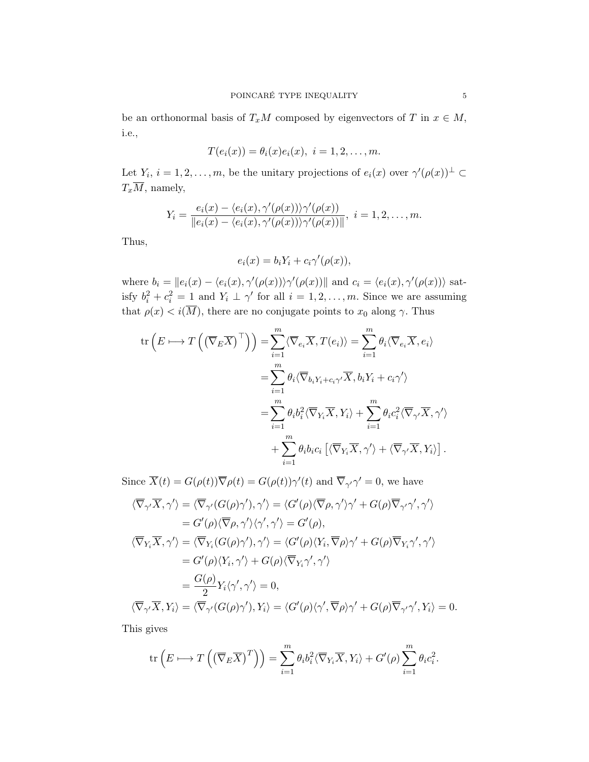be an orthonormal basis of  $T_xM$  composed by eigenvectors of T in  $x \in M$ , i.e.,

$$
T(e_i(x)) = \theta_i(x)e_i(x), i = 1, 2, \ldots, m.
$$

Let  $Y_i$ ,  $i = 1, 2, \ldots, m$ , be the unitary projections of  $e_i(x)$  over  $\gamma'(\rho(x))^{\perp} \subset$  $T_x\overline{M}$ , namely,

$$
Y_i = \frac{e_i(x) - \langle e_i(x), \gamma'(\rho(x)) \rangle \gamma'(\rho(x))}{\|e_i(x) - \langle e_i(x), \gamma'(\rho(x)) \rangle \gamma'(\rho(x))\|}, \ i = 1, 2, \ldots, m.
$$

Thus,

$$
e_i(x) = b_i Y_i + c_i \gamma'(\rho(x)),
$$

where  $b_i = ||e_i(x) - \langle e_i(x), \gamma'(\rho(x)) \rangle \gamma'(\rho(x))||$  and  $c_i = \langle e_i(x), \gamma'(\rho(x)) \rangle$  satisfy  $b_i^2 + c_i^2 = 1$  and  $Y_i \perp \gamma'$  for all  $i = 1, 2, ..., m$ . Since we are assuming that  $\rho(x) < i(\overline{M})$ , there are no conjugate points to  $x_0$  along  $\gamma$ . Thus

$$
\operatorname{tr}\left(E \longmapsto T\left(\left(\overline{\nabla}_{E}\overline{X}\right)^{\top}\right)\right) = \sum_{i=1}^{m} \langle \overline{\nabla}_{e_{i}}\overline{X}, T(e_{i}) \rangle = \sum_{i=1}^{m} \theta_{i} \langle \overline{\nabla}_{e_{i}}\overline{X}, e_{i} \rangle
$$

$$
= \sum_{i=1}^{m} \theta_{i} \langle \overline{\nabla}_{b_{i}} Y_{i} + c_{i} \gamma \rangle
$$

$$
= \sum_{i=1}^{m} \theta_{i} b_{i}^{2} \langle \overline{\nabla}_{Y_{i}}\overline{X}, Y_{i} \rangle + \sum_{i=1}^{m} \theta_{i} c_{i}^{2} \langle \overline{\nabla}_{\gamma'}\overline{X}, \gamma' \rangle
$$

$$
+ \sum_{i=1}^{m} \theta_{i} b_{i} c_{i} \left[\langle \overline{\nabla}_{Y_{i}}\overline{X}, \gamma' \rangle + \langle \overline{\nabla}_{\gamma'}\overline{X}, Y_{i} \rangle\right].
$$

Since  $\overline{X}(t) = G(\rho(t))\overline{\nabla}\rho(t) = G(\rho(t))\gamma'(t)$  and  $\overline{\nabla}_{\gamma'}\gamma' = 0$ , we have  $\langle \overline \nabla_{\gamma'} \overline X, \gamma' \rangle = \langle \overline \nabla_{\gamma'} (G(\rho) \gamma'), \gamma' \rangle = \langle G'(\rho) \langle \overline \nabla \rho, \gamma' \rangle \gamma' + G(\rho) \overline \nabla_{\gamma'} \gamma', \gamma' \rangle$  $= G'(\rho)\langle \overline{\nabla}\rho, \gamma'\rangle\langle \gamma', \gamma'\rangle = G'(\rho),$ 

$$
\langle \overline{\nabla}_{Y_i} \overline{X}, \gamma' \rangle = \langle \overline{\nabla}_{Y_i} (G(\rho) \gamma'), \gamma' \rangle = \langle G'(\rho) \langle Y_i, \overline{\nabla} \rho \rangle \gamma' + G(\rho) \overline{\nabla}_{Y_i} \gamma', \gamma' \rangle
$$
  
\n
$$
= G'(\rho) \langle Y_i, \gamma' \rangle + G(\rho) \langle \overline{\nabla}_{Y_i} \gamma', \gamma' \rangle
$$
  
\n
$$
= \frac{G(\rho)}{2} Y_i \langle \gamma', \gamma' \rangle = 0,
$$
  
\n
$$
\langle \overline{\nabla}_{\gamma'} \overline{X}, Y_i \rangle = \langle \overline{\nabla}_{\gamma'} (G(\rho) \gamma'), Y_i \rangle = \langle G'(\rho) \langle \gamma', \overline{\nabla} \rho \rangle \gamma' + G(\rho) \overline{\nabla}_{\gamma'} \gamma', Y_i \rangle = 0.
$$

This gives

$$
\text{tr}\left(E \longmapsto T\left(\left(\overline{\nabla}_E \overline{X}\right)^T\right)\right) = \sum_{i=1}^m \theta_i b_i^2 \langle \overline{\nabla}_{Y_i} \overline{X}, Y_i \rangle + G'(\rho) \sum_{i=1}^m \theta_i c_i^2.
$$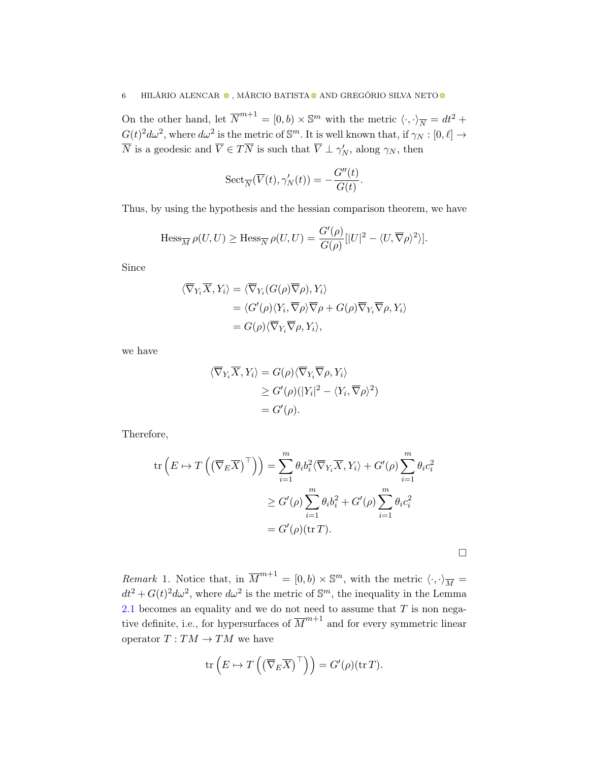On the other hand, let  $\overline{N}^{m+1} = [0, b) \times \mathbb{S}^m$  with the metric  $\langle \cdot, \cdot \rangle_{\overline{N}} = dt^2 +$  $G(t)^2 d\omega^2$ , where  $d\omega^2$  is the metric of  $\mathbb{S}^m$ . It is well known that, if  $\gamma_N : [0, \ell] \to$  $\overline{N}$  is a geodesic and  $\overline{V} \in T\overline{N}$  is such that  $\overline{V} \perp \gamma'_{N}$ , along  $\gamma_{N}$ , then

$$
\mathrm{Sect}_{\overline{N}}(\overline{V}(t),\gamma_N'(t))=-\frac{G''(t)}{G(t)}
$$

.

□

Thus, by using the hypothesis and the hessian comparison theorem, we have

$$
\operatorname{Hess}_{\overline{M}} \rho(U, U) \ge \operatorname{Hess}_{\overline{N}} \rho(U, U) = \frac{G'(\rho)}{G(\rho)} [|U|^2 - \langle U, \overline{\nabla} \rho \rangle^2 \rangle].
$$

Since

$$
\langle \overline{\nabla}_{Y_i} \overline{X}, Y_i \rangle = \langle \overline{\nabla}_{Y_i} (G(\rho) \overline{\nabla} \rho), Y_i \rangle
$$
  
=  $\langle G'(\rho) \langle Y_i, \overline{\nabla} \rho \rangle \overline{\nabla} \rho + G(\rho) \overline{\nabla}_{Y_i} \overline{\nabla} \rho, Y_i \rangle$   
=  $G(\rho) \langle \overline{\nabla}_{Y_i} \overline{\nabla} \rho, Y_i \rangle$ ,

we have

$$
\langle \overline{\nabla}_{Y_i} \overline{X}, Y_i \rangle = G(\rho) \langle \overline{\nabla}_{Y_i} \overline{\nabla} \rho, Y_i \rangle
$$
  
\n
$$
\geq G'(\rho) (|Y_i|^2 - \langle Y_i, \overline{\nabla} \rho \rangle^2)
$$
  
\n
$$
= G'(\rho).
$$

Therefore,

$$
\operatorname{tr}\left(E \mapsto T\left(\left(\overline{\nabla}_E \overline{X}\right)^{\top}\right)\right) = \sum_{i=1}^m \theta_i b_i^2 \langle \overline{\nabla}_{Y_i} \overline{X}, Y_i \rangle + G'(\rho) \sum_{i=1}^m \theta_i c_i^2
$$

$$
\geq G'(\rho) \sum_{i=1}^m \theta_i b_i^2 + G'(\rho) \sum_{i=1}^m \theta_i c_i^2
$$

$$
= G'(\rho)(\operatorname{tr} T).
$$

<span id="page-5-0"></span>*Remark* 1. Notice that, in  $\overline{M}^{m+1} = [0, b) \times \mathbb{S}^m$ , with the metric  $\langle \cdot, \cdot \rangle_{\overline{M}} =$  $dt^2 + G(t)^2 d\omega^2$ , where  $d\omega^2$  is the metric of  $\mathbb{S}^m$ , the inequality in the Lemma [2.1](#page-3-0) becomes an equality and we do not need to assume that  $T$  is non negative definite, i.e., for hypersurfaces of  $\overline{M}^{m+1}$  and for every symmetric linear operator  $T: TM \rightarrow TM$  we have

$$
\mathrm{tr}\left(E \mapsto T\left(\left(\overline{\nabla}_E \overline{X}\right)^{\top}\right)\right) = G'(\rho)(\mathrm{tr}\,T).
$$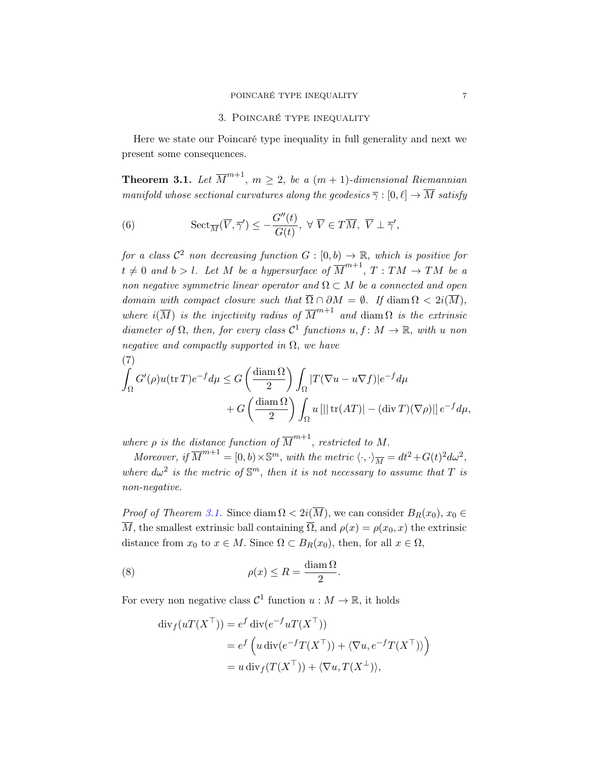## POINCARÉ TYPE INEQUALITY  $\hspace{2cm} 7$

## 3. Poincaré type inequality

<span id="page-6-0"></span>Here we state our Poincaré type inequality in full generality and next we present some consequences.

<span id="page-6-1"></span>**Theorem 3.1.** Let  $\overline{M}^{m+1}$ ,  $m \geq 2$ , be a  $(m + 1)$ -dimensional Riemannian manifold whose sectional curvatures along the geodesics  $\overline{\gamma} : [0, \ell] \to \overline{M}$  satisfy

<span id="page-6-3"></span>(6) 
$$
\mathrm{Sect}_{\overline{M}}(\overline{V}, \overline{\gamma}') \leq -\frac{G''(t)}{G(t)}, \ \forall \ \overline{V} \in T\overline{M}, \ \overline{V} \perp \overline{\gamma}',
$$

for a class  $\mathcal{C}^2$  non decreasing function  $G : [0, b) \to \mathbb{R}$ , which is positive for  $t \neq 0$  and  $b > l$ . Let M be a hypersurface of  $\overline{M}^{m+1}$ ,  $T : TM \rightarrow TM$  be a non negative symmetric linear operator and  $\Omega \subset M$  be a connected and open domain with compact closure such that  $\overline{\Omega} \cap \partial M = \emptyset$ . If diam  $\Omega < 2i(\overline{M})$ , where  $i(\overline{M})$  is the injectivity radius of  $\overline{M}^{m+1}$  and diam  $\Omega$  is the extrinsic diameter of  $\Omega$ , then, for every class  $\mathcal{C}^1$  functions  $u, f \colon M \to \mathbb{R}$ , with u non negative and compactly supported in  $\Omega$ , we have

<span id="page-6-2"></span>(7)  
\n
$$
\int_{\Omega} G'(\rho)u(\text{tr }T)e^{-f}d\mu \leq G\left(\frac{\text{diam }\Omega}{2}\right)\int_{\Omega}|T(\nabla u - u\nabla f)|e^{-f}d\mu
$$
\n
$$
+ G\left(\frac{\text{diam }\Omega}{2}\right)\int_{\Omega}u\left[||\text{tr}(AT)| - (\text{div }T)(\nabla \rho)||\right]e^{-f}d\mu,
$$

where  $\rho$  is the distance function of  $\overline{M}^{m+1}$ , restricted to M.

Moreover, if  $\overline{M}^{m+1} = [0, b) \times \mathbb{S}^m$ , with the metric  $\langle \cdot, \cdot \rangle_{\overline{M}} = dt^2 + G(t)^2 d\omega^2$ , where  $d\omega^2$  is the metric of  $\mathbb{S}^m$ , then it is not necessary to assume that T is non-negative.

*Proof of Theorem [3.1.](#page-6-1)* Since diam  $\Omega < 2i(\overline{M})$ , we can consider  $B_R(x_0), x_0 \in$  $\overline{M}$ , the smallest extrinsic ball containing  $\overline{\Omega}$ , and  $\rho(x) = \rho(x_0, x)$  the extrinsic distance from  $x_0$  to  $x \in M$ . Since  $\Omega \subset B_R(x_0)$ , then, for all  $x \in \Omega$ ,

.

(8) 
$$
\rho(x) \le R = \frac{\text{diam } \Omega}{2}
$$

For every non negative class  $C^1$  function  $u : M \to \mathbb{R}$ , it holds

$$
\operatorname{div}_f(uT(X^{\top})) = e^f \operatorname{div}(e^{-f}uT(X^{\top}))
$$
  
=  $e^f \left( u \operatorname{div}(e^{-f}T(X^{\top})) + \langle \nabla u, e^{-f}T(X^{\top}) \rangle \right)$   
=  $u \operatorname{div}_f(T(X^{\top})) + \langle \nabla u, T(X^{\perp}) \rangle$ ,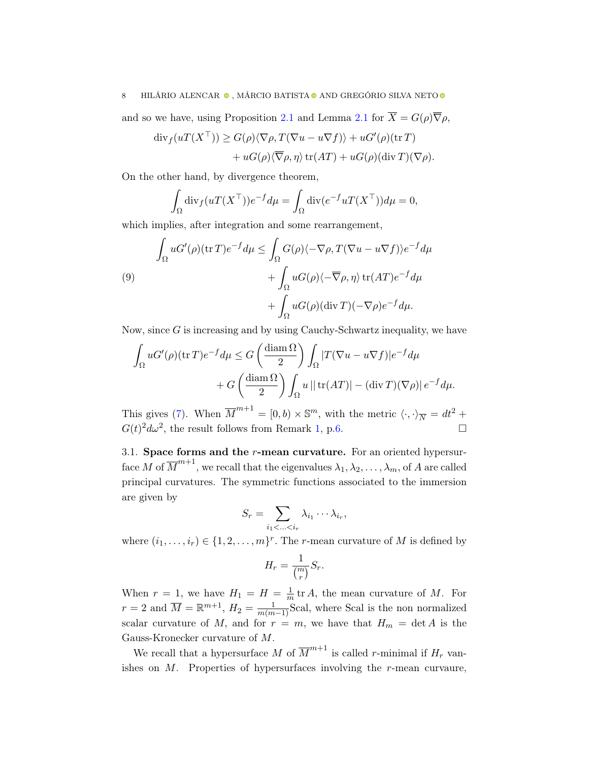and so we have, using Proposition [2.1](#page-3-0) and Lemma 2.1 for  $\overline{X} = G(\rho) \overline{\nabla} \rho$ ,

$$
\begin{aligned} \operatorname{div}_f(uT(X^\top)) &\geq G(\rho) \langle \nabla \rho, T(\nabla u - u \nabla f) \rangle + uG'(\rho)(\operatorname{tr} T) \\ &+ uG(\rho) \langle \overline{\nabla} \rho, \eta \rangle \operatorname{tr}(AT) + uG(\rho)(\operatorname{div} T)(\nabla \rho). \end{aligned}
$$

On the other hand, by divergence theorem,

$$
\int_{\Omega} \operatorname{div}_f(uT(X^{\top}))e^{-f}d\mu = \int_{\Omega} \operatorname{div}(e^{-f}uT(X^{\top}))d\mu = 0,
$$

which implies, after integration and some rearrangement,

<span id="page-7-0"></span>(9)  
\n
$$
\int_{\Omega} uG'(\rho)(\text{tr }T)e^{-f}d\mu \leq \int_{\Omega} G(\rho)\langle -\nabla \rho, T(\nabla u - u\nabla f)\rangle e^{-f}d\mu \n+ \int_{\Omega} uG(\rho)\langle -\overline{\nabla}\rho, \eta\rangle \text{ tr}(AT)e^{-f}d\mu \n+ \int_{\Omega} uG(\rho)(\text{div }T)(-\nabla \rho)e^{-f}d\mu.
$$

Now, since  $G$  is increasing and by using Cauchy-Schwartz inequality, we have

$$
\int_{\Omega} uG'(\rho)(\operatorname{tr} T)e^{-f}d\mu \leq G\left(\frac{\operatorname{diam}\Omega}{2}\right) \int_{\Omega} |T(\nabla u - u\nabla f)|e^{-f}d\mu \n+ G\left(\frac{\operatorname{diam}\Omega}{2}\right) \int_{\Omega} u \left|\right| \operatorname{tr}(AT)\right| - (\operatorname{div} T)(\nabla \rho)|e^{-f}d\mu.
$$

This gives [\(7\)](#page-6-2). When  $\overline{M}^{m+1} = [0, b) \times \mathbb{S}^m$ , with the metric  $\langle \cdot, \cdot \rangle_{\overline{N}} = dt^2 +$  $G(t)^2 d\omega^2$ , the result follows from Remark [1,](#page-5-0) p[.6.](#page-5-0)  $\Box$ 

3.1. Space forms and the  $r$ -mean curvature. For an oriented hypersurface M of  $\overline{M}^{m+1}$ , we recall that the eigenvalues  $\lambda_1, \lambda_2, \ldots, \lambda_m$ , of A are called principal curvatures. The symmetric functions associated to the immersion are given by

$$
S_r = \sum_{i_1 < \ldots < i_r} \lambda_{i_1} \cdots \lambda_{i_r},
$$

where  $(i_1, \ldots, i_r) \in \{1, 2, \ldots, m\}^r$ . The *r*-mean curvature of M is defined by

$$
H_r = \frac{1}{\binom{m}{r}} S_r.
$$

When  $r = 1$ , we have  $H_1 = H = \frac{1}{m}$  $\frac{1}{m}$  tr A, the mean curvature of M. For  $r = 2$  and  $\overline{M} = \mathbb{R}^{m+1}$ ,  $H_2 = \frac{1}{m(m-1)}$ Scal, where Scal is the non normalized scalar curvature of M, and for  $r = m$ , we have that  $H_m = \det A$  is the Gauss-Kronecker curvature of M.

We recall that a hypersurface M of  $\overline{M}^{m+1}$  is called r-minimal if  $H_r$  vanishes on  $M$ . Properties of hypersurfaces involving the r-mean curvaure,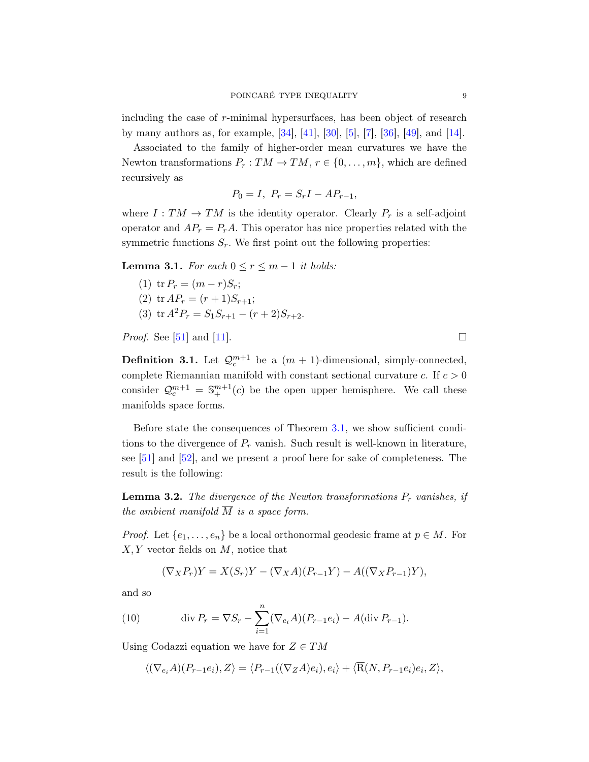including the case of r-minimal hypersurfaces, has been object of research by many authors as, for example, [\[34\]](#page-24-3), [\[41\]](#page-24-4), [\[30\]](#page-23-4), [\[5\]](#page-22-2), [\[7\]](#page-22-3), [\[36\]](#page-24-5), [\[49\]](#page-24-6), and [\[14\]](#page-23-5).

Associated to the family of higher-order mean curvatures we have the Newton transformations  $P_r: TM \to TM, r \in \{0, \ldots, m\}$ , which are defined recursively as

$$
P_0 = I, \ P_r = S_r I - A P_{r-1},
$$

where  $I: TM \rightarrow TM$  is the identity operator. Clearly  $P_r$  is a self-adjoint operator and  $AP_r = P_rA$ . This operator has nice properties related with the symmetric functions  $S_r$ . We first point out the following properties:

<span id="page-8-2"></span>**Lemma 3.1.** For each  $0 \le r \le m - 1$  it holds:

(1)  ${\rm tr} P_r = (m - r)S_r;$ (2) tr  $AP_r = (r+1)S_{r+1};$ (3) tr  $A^2P_r = S_1S_{r+1} - (r+2)S_{r+2}$ .

*Proof.* See [\[51\]](#page-24-7) and [\[11\]](#page-22-4).

**Definition 3.1.** Let  $\mathcal{Q}_c^{m+1}$  be a  $(m + 1)$ -dimensional, simply-connected, complete Riemannian manifold with constant sectional curvature  $c$ . If  $c > 0$ consider  $\mathcal{Q}_c^{m+1} = \mathbb{S}_+^{m+1}(c)$  be the open upper hemisphere. We call these manifolds space forms.

Before state the consequences of Theorem [3.1,](#page-6-1) we show sufficient conditions to the divergence of  $P_r$  vanish. Such result is well-known in literature, see [\[51\]](#page-24-7) and [\[52\]](#page-25-0), and we present a proof here for sake of completeness. The result is the following:

<span id="page-8-1"></span>**Lemma 3.2.** The divergence of the Newton transformations  $P_r$  vanishes, if the ambient manifold  $\overline{M}$  is a space form.

*Proof.* Let  $\{e_1, \ldots, e_n\}$  be a local orthonormal geodesic frame at  $p \in M$ . For  $X, Y$  vector fields on  $M$ , notice that

<span id="page-8-0"></span>
$$
(\nabla_X P_r)Y = X(S_r)Y - (\nabla_X A)(P_{r-1}Y) - A((\nabla_X P_{r-1})Y),
$$

and so

(10) 
$$
\operatorname{div} P_r = \nabla S_r - \sum_{i=1}^n (\nabla_{e_i} A)(P_{r-1}e_i) - A(\operatorname{div} P_{r-1}).
$$

Using Codazzi equation we have for  $Z \in TM$ 

$$
\langle (\nabla_{e_i} A)(P_{r-1}e_i), Z \rangle = \langle P_{r-1}((\nabla_Z A)e_i), e_i \rangle + \langle \overline{R}(N, P_{r-1}e_i)e_i, Z \rangle,
$$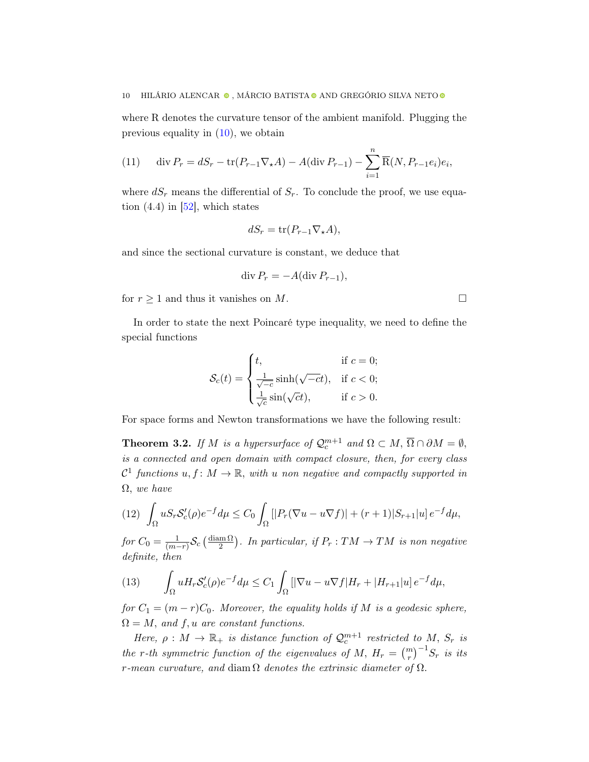where R denotes the curvature tensor of the ambient manifold. Plugging the previous equality in  $(10)$ , we obtain

<span id="page-9-3"></span>(11) div 
$$
P_r = dS_r - \text{tr}(P_{r-1} \nabla_{\star} A) - A(\text{div } P_{r-1}) - \sum_{i=1}^n \overline{R}(N, P_{r-1} e_i) e_i,
$$

where  $dS_r$  means the differential of  $S_r$ . To conclude the proof, we use equation  $(4.4)$  in  $[52]$ , which states

$$
dS_r = \operatorname{tr}(P_{r-1} \nabla_{\star} A),
$$

and since the sectional curvature is constant, we deduce that

$$
\operatorname{div} P_r = -A(\operatorname{div} P_{r-1}),
$$

for  $r \geq 1$  and thus it vanishes on M. □

In order to state the next Poincaré type inequality, we need to define the special functions

$$
\mathcal{S}_c(t) = \begin{cases} t, & \text{if } c = 0; \\ \frac{1}{\sqrt{-c}} \sinh(\sqrt{-c}t), & \text{if } c < 0; \\ \frac{1}{\sqrt{c}} \sin(\sqrt{c}t), & \text{if } c > 0. \end{cases}
$$

For space forms and Newton transformations we have the following result:

<span id="page-9-2"></span>**Theorem 3.2.** If M is a hypersurface of  $\mathcal{Q}_c^{m+1}$  and  $\Omega \subset M$ ,  $\overline{\Omega} \cap \partial M = \emptyset$ , is a connected and open domain with compact closure, then, for every class  $\mathcal{C}^1$  functions  $u, f \colon M \to \mathbb{R}$ , with u non negative and compactly supported in  $\Omega$ , we have

<span id="page-9-0"></span>
$$
(12)\quad \int_{\Omega} u S_r \mathcal{S}'_c(\rho) e^{-f} d\mu \le C_0 \int_{\Omega} \left[ |P_r(\nabla u - u \nabla f)| + (r+1)|S_{r+1}|u \right] e^{-f} d\mu,
$$

for  $C_0 = \frac{1}{(m-1)}$  $\frac{1}{(m-r)}\mathcal{S}_c\left(\frac{\operatorname{diam}\Omega}{2}\right)$  $\frac{\text{Im}\,\Omega}{2}$ ). In particular, if  $P_r: TM \rightarrow TM$  is non negative definite, then

<span id="page-9-1"></span>(13) 
$$
\int_{\Omega} u H_r \mathcal{S}'_c(\rho) e^{-f} d\mu \leq C_1 \int_{\Omega} \left[ |\nabla u - u \nabla f| H_r + |H_{r+1}| u \right] e^{-f} d\mu,
$$

for  $C_1 = (m - r)C_0$ . Moreover, the equality holds if M is a geodesic sphere,  $\Omega = M$ , and f, u are constant functions.

Here,  $\rho: M \to \mathbb{R}_+$  is distance function of  $\mathcal{Q}_c^{m+1}$  restricted to M,  $S_r$  is the r-th symmetric function of the eigenvalues of M,  $H_r = {m \choose r}^{-1} S_r$  is its r-mean curvature, and diam  $\Omega$  denotes the extrinsic diameter of  $\Omega$ .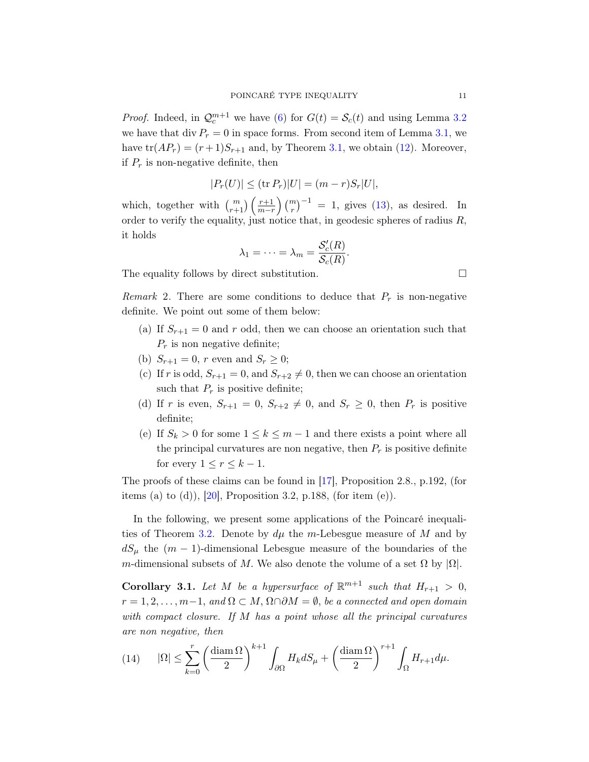*Proof.* Indeed, in  $\mathcal{Q}_c^{m+1}$  we have [\(6\)](#page-6-3) for  $G(t) = \mathcal{S}_c(t)$  and using Lemma [3.2](#page-8-1) we have that div  $P_r = 0$  in space forms. From second item of Lemma [3.1,](#page-8-2) we have  $tr(AP_r) = (r+1)S_{r+1}$  and, by Theorem [3.1,](#page-6-1) we obtain [\(12\)](#page-9-0). Moreover, if  $P_r$  is non-negative definite, then

$$
|P_r(U)| \leq (\text{tr } P_r)|U| = (m - r)S_r|U|,
$$

which, together with  $\binom{m}{r+1}\left(\frac{r+1}{m-r}\right)\binom{m}{r}^{-1} = 1$ , gives [\(13\)](#page-9-1), as desired. In order to verify the equality, just notice that, in geodesic spheres of radius  $R$ , it holds

$$
\lambda_1=\cdots=\lambda_m=\frac{\mathcal{S}'_c(R)}{\mathcal{S}_c(R)}.
$$

The equality follows by direct substitution.  $\Box$ 

<span id="page-10-0"></span>Remark 2. There are some conditions to deduce that  $P_r$  is non-negative definite. We point out some of them below:

- (a) If  $S_{r+1} = 0$  and r odd, then we can choose an orientation such that  $P_r$  is non negative definite;
- (b)  $S_{r+1} = 0$ , r even and  $S_r \ge 0$ ;
- (c) If r is odd,  $S_{r+1} = 0$ , and  $S_{r+2} \neq 0$ , then we can choose an orientation such that  $P_r$  is positive definite;
- (d) If r is even,  $S_{r+1} = 0$ ,  $S_{r+2} \neq 0$ , and  $S_r \geq 0$ , then  $P_r$  is positive definite;
- (e) If  $S_k > 0$  for some  $1 \leq k \leq m-1$  and there exists a point where all the principal curvatures are non negative, then  $P_r$  is positive definite for every  $1 \leq r \leq k-1$ .

The proofs of these claims can be found in [\[17\]](#page-23-6), Proposition 2.8., p.192, (for items (a) to (d)),  $[20]$ , Proposition 3.2, p.188, (for item (e)).

In the following, we present some applications of the Poincaré inequali-ties of Theorem [3.2.](#page-9-2) Denote by  $d\mu$  the m-Lebesgue measure of M and by  $dS_\mu$  the  $(m-1)$ -dimensional Lebesgue measure of the boundaries of the m-dimensional subsets of M. We also denote the volume of a set  $\Omega$  by  $|\Omega|$ .

<span id="page-10-2"></span>**Corollary 3.1.** Let M be a hypersurface of  $\mathbb{R}^{m+1}$  such that  $H_{r+1} > 0$ ,  $r = 1, 2, \ldots, m-1$ , and  $\Omega \subset M$ ,  $\Omega \cap \partial M = \emptyset$ , be a connected and open domain with compact closure. If M has a point whose all the principal curvatures are non negative, then

<span id="page-10-1"></span>(14) 
$$
|\Omega| \le \sum_{k=0}^r \left(\frac{\text{diam }\Omega}{2}\right)^{k+1} \int_{\partial\Omega} H_k dS_\mu + \left(\frac{\text{diam }\Omega}{2}\right)^{r+1} \int_{\Omega} H_{r+1} d\mu.
$$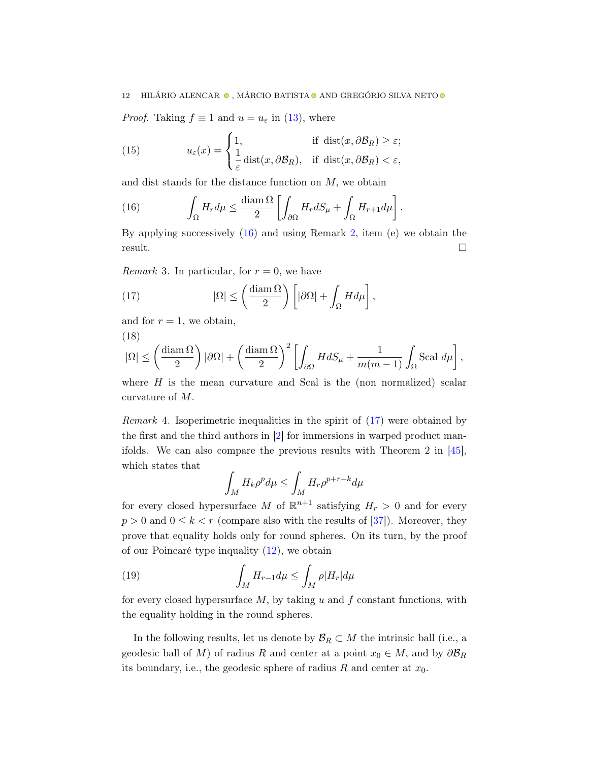*Proof.* Taking  $f \equiv 1$  and  $u = u_{\varepsilon}$  in [\(13\)](#page-9-1), where

(15) 
$$
u_{\varepsilon}(x) = \begin{cases} 1, & \text{if } \operatorname{dist}(x, \partial \mathcal{B}_R) \ge \varepsilon; \\ \frac{1}{\varepsilon} \operatorname{dist}(x, \partial \mathcal{B}_R), & \text{if } \operatorname{dist}(x, \partial \mathcal{B}_R) < \varepsilon, \end{cases}
$$

and dist stands for the distance function on  $M$ , we obtain

<span id="page-11-0"></span>(16) 
$$
\int_{\Omega} H_r d\mu \leq \frac{\text{diam }\Omega}{2} \left[ \int_{\partial \Omega} H_r dS_{\mu} + \int_{\Omega} H_{r+1} d\mu \right].
$$

By applying successively [\(16\)](#page-11-0) and using Remark [2,](#page-10-0) item (e) we obtain the result.  $\Box$ 

*Remark* 3. In particular, for  $r = 0$ , we have

<span id="page-11-1"></span>(17) 
$$
|\Omega| \leq \left(\frac{\text{diam }\Omega}{2}\right) \left[|\partial\Omega| + \int_{\Omega} H d\mu\right],
$$

and for  $r = 1$ , we obtain, (18)

$$
|\Omega| \le \left(\frac{\text{diam }\Omega}{2}\right)|\partial\Omega| + \left(\frac{\text{diam }\Omega}{2}\right)^2 \left[\int_{\partial\Omega} H dS_{\mu} + \frac{1}{m(m-1)} \int_{\Omega} \text{Scal } d\mu\right],
$$

where  $H$  is the mean curvature and Scal is the (non normalized) scalar curvature of M.

Remark 4. Isoperimetric inequalities in the spirit of [\(17\)](#page-11-1) were obtained by the first and the third authors in [\[2\]](#page-22-5) for immersions in warped product manifolds. We can also compare the previous results with Theorem 2 in [\[45\]](#page-24-8), which states that

$$
\int_M H_k \rho^p d\mu \le \int_M H_r \rho^{p+r-k} d\mu
$$

for every closed hypersurface M of  $\mathbb{R}^{n+1}$  satisfying  $H_r > 0$  and for every  $p > 0$  and  $0 \leq k < r$  (compare also with the results of [\[37\]](#page-24-9)). Moreover, they prove that equality holds only for round spheres. On its turn, by the proof of our Poincaré type inquality [\(12\)](#page-9-0), we obtain

(19) 
$$
\int_{M} H_{r-1} d\mu \leq \int_{M} \rho |H_{r}| d\mu
$$

for every closed hypersurface  $M$ , by taking  $u$  and  $f$  constant functions, with the equality holding in the round spheres.

In the following results, let us denote by  $\mathcal{B}_R \subset M$  the intrinsic ball (i.e., a geodesic ball of M) of radius R and center at a point  $x_0 \in M$ , and by  $\partial \mathcal{B}_R$ its boundary, i.e., the geodesic sphere of radius  $R$  and center at  $x_0$ .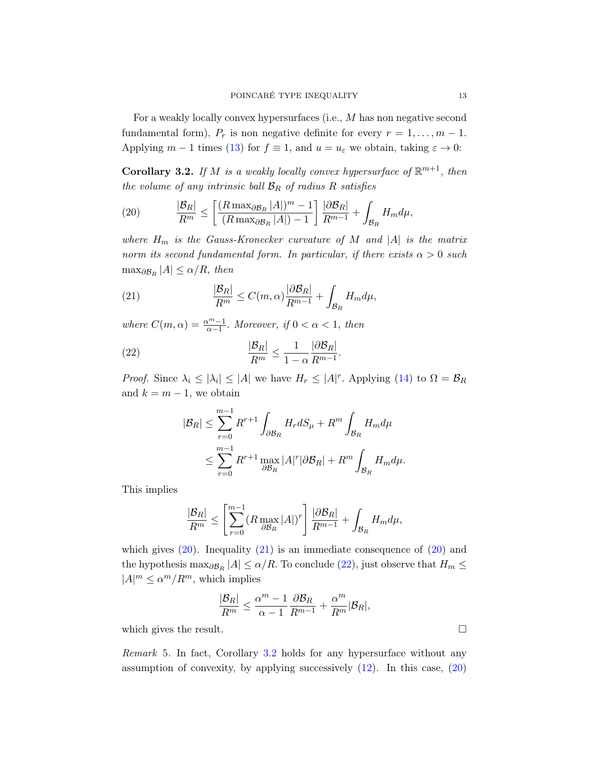For a weakly locally convex hypersurfaces (i.e., M has non negative second fundamental form),  $P_r$  is non negative definite for every  $r = 1, \ldots, m - 1$ . Applying  $m-1$  times [\(13\)](#page-9-1) for  $f \equiv 1$ , and  $u = u_{\varepsilon}$  we obtain, taking  $\varepsilon \to 0$ :

<span id="page-12-3"></span>**Corollary 3.2.** If M is a weakly locally convex hypersurface of  $\mathbb{R}^{m+1}$ , then the volume of any intrinsic ball  $\mathcal{B}_R$  of radius R satisfies

<span id="page-12-0"></span>(20) 
$$
\frac{|\mathcal{B}_R|}{R^m} \le \left[ \frac{(R \max_{\partial \mathcal{B}_R} |A|)^m - 1}{(R \max_{\partial \mathcal{B}_R} |A|) - 1} \right] \frac{|\partial \mathcal{B}_R|}{R^{m-1}} + \int_{\mathcal{B}_R} H_m d\mu,
$$

where  $H_m$  is the Gauss-Kronecker curvature of M and |A| is the matrix norm its second fundamental form. In particular, if there exists  $\alpha > 0$  such  $\max_{\partial \mathcal{B}_R} |A| \leq \alpha/R$ , then

<span id="page-12-1"></span>(21) 
$$
\frac{|\mathcal{B}_R|}{R^m} \leq C(m,\alpha) \frac{|\partial \mathcal{B}_R|}{R^{m-1}} + \int_{\mathcal{B}_R} H_m d\mu,
$$

where  $C(m, \alpha) = \frac{\alpha^m - 1}{\alpha - 1}$ . Moreover, if  $0 < \alpha < 1$ , then

(22) 
$$
\frac{|\mathcal{B}_R|}{R^m} \le \frac{1}{1-\alpha} \frac{|\partial \mathcal{B}_R|}{R^{m-1}}.
$$

*Proof.* Since  $\lambda_i \leq |\lambda_i| \leq |A|$  we have  $H_r \leq |A|^r$ . Applying [\(14\)](#page-10-1) to  $\Omega = \mathcal{B}_R$ and  $k = m - 1$ , we obtain

<span id="page-12-2"></span>
$$
|\mathcal{B}_R| \le \sum_{r=0}^{m-1} R^{r+1} \int_{\partial \mathcal{B}_R} H_r dS_\mu + R^m \int_{\mathcal{B}_R} H_m d\mu
$$
  

$$
\le \sum_{r=0}^{m-1} R^{r+1} \max_{\partial \mathcal{B}_R} |A|^r |\partial \mathcal{B}_R| + R^m \int_{\mathcal{B}_R} H_m d\mu.
$$

This implies

$$
\frac{|\mathcal{B}_R|}{R^m} \le \left[ \sum_{r=0}^{m-1} (R \max_{\partial \mathcal{B}_R} |A|)^r \right] \frac{|\partial \mathcal{B}_R|}{R^{m-1}} + \int_{\mathcal{B}_R} H_m d\mu,
$$

which gives  $(20)$ . Inequality  $(21)$  is an immediate consequence of  $(20)$  and the hypothesis  $\max_{\partial \mathcal{B}_R} |A| \le \alpha/R$ . To conclude [\(22\)](#page-12-2), just observe that  $H_m \le$  $|A|^m \le \alpha^m / R^m$ , which implies

$$
\frac{|\mathcal{B}_R|}{R^m} \leq \frac{\alpha^m-1}{\alpha-1}\frac{\partial \mathcal{B}_R}{R^{m-1}} + \frac{\alpha^m}{R^m}|\mathcal{B}_R|,
$$

which gives the result.  $\Box$ 

<span id="page-12-4"></span>Remark 5. In fact, Corollary [3.2](#page-12-3) holds for any hypersurface without any assumption of convexity, by applying successively [\(12\)](#page-9-0). In this case, [\(20\)](#page-12-0)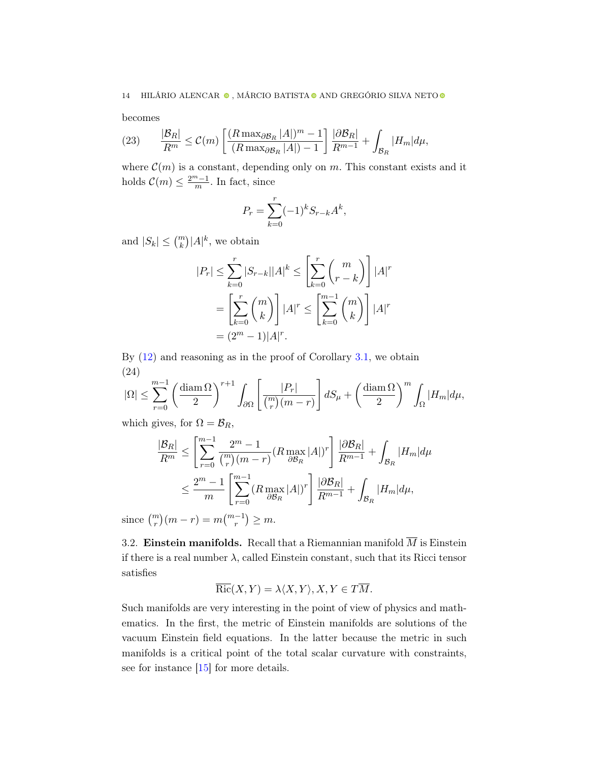becomes

(23) 
$$
\frac{|\mathcal{B}_R|}{R^m} \leq C(m) \left[ \frac{(R \max_{\partial \mathcal{B}_R} |A|)^m - 1}{(R \max_{\partial \mathcal{B}_R} |A|) - 1} \right] \frac{|\partial \mathcal{B}_R|}{R^{m-1}} + \int_{\mathcal{B}_R} |H_m| d\mu,
$$

where  $\mathcal{C}(m)$  is a constant, depending only on m. This constant exists and it holds  $\mathcal{C}(m) \leq \frac{2^m-1}{m}$  $\frac{n-1}{m}$ . In fact, since

$$
P_r = \sum_{k=0}^r (-1)^k S_{r-k} A^k,
$$

and  $|S_k| \leq {m \choose k} |A|^k$ , we obtain

$$
|P_r| \le \sum_{k=0}^r |S_{r-k}| |A|^k \le \left[ \sum_{k=0}^r \binom{m}{r-k} \right] |A|^r
$$
  
= 
$$
\left[ \sum_{k=0}^r \binom{m}{k} \right] |A|^r \le \left[ \sum_{k=0}^{m-1} \binom{m}{k} \right] |A|^r
$$
  
= 
$$
(2^m - 1)|A|^r.
$$

By  $(12)$  and reasoning as in the proof of Corollary [3.1,](#page-10-2) we obtain (24)

$$
|\Omega| \le \sum_{r=0}^{m-1} \left(\frac{\text{diam}\,\Omega}{2}\right)^{r+1} \int_{\partial\Omega} \left[\frac{|P_r|}{\binom{m}{r}(m-r)}\right] dS_{\mu} + \left(\frac{\text{diam}\,\Omega}{2}\right)^m \int_{\Omega} |H_m| d\mu,
$$

which gives, for  $\Omega = \mathcal{B}_R$ ,

$$
\frac{|\mathcal{B}_R|}{R^m} \le \left[ \sum_{r=0}^{m-1} \frac{2^m - 1}{\binom{m}{r} (m-r)} (R \max_{\partial \mathcal{B}_R} |A|)^r \right] \frac{|\partial \mathcal{B}_R|}{R^{m-1}} + \int_{\mathcal{B}_R} |H_m| d\mu
$$
  

$$
\le \frac{2^m - 1}{m} \left[ \sum_{r=0}^{m-1} (R \max_{\partial \mathcal{B}_R} |A|)^r \right] \frac{|\partial \mathcal{B}_R|}{R^{m-1}} + \int_{\mathcal{B}_R} |H_m| d\mu,
$$

since  $\binom{m}{r}(m-r) = m \binom{m-1}{r} \ge m$ .

3.2. Einstein manifolds. Recall that a Riemannian manifold  $\overline{M}$  is Einstein if there is a real number  $\lambda$ , called Einstein constant, such that its Ricci tensor satisfies

$$
\overline{\text{Ric}}(X,Y) = \lambda \langle X, Y \rangle, X, Y \in T\overline{M}.
$$

Such manifolds are very interesting in the point of view of physics and mathematics. In the first, the metric of Einstein manifolds are solutions of the vacuum Einstein field equations. In the latter because the metric in such manifolds is a critical point of the total scalar curvature with constraints, see for instance [\[15\]](#page-23-8) for more details.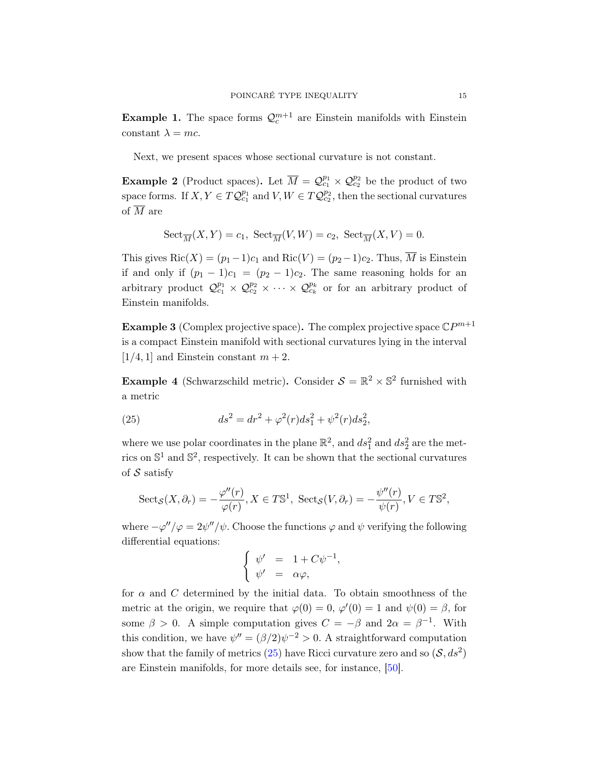**Example 1.** The space forms  $\mathcal{Q}_c^{m+1}$  are Einstein manifolds with Einstein constant  $\lambda = mc$ .

Next, we present spaces whose sectional curvature is not constant.

**Example 2** (Product spaces). Let  $\overline{M} = \mathcal{Q}_{c_1}^{p_1} \times \mathcal{Q}_{c_2}^{p_2}$  be the product of two space forms. If  $X, Y \in TQ_{c_1}^{p_1}$  and  $V, W \in TQ_{c_2}^{p_2}$ , then the sectional curvatures of  $\overline{M}$  are

$$
Sect_{\overline{M}}(X,Y) = c_1, \ Sect_{\overline{M}}(V,W) = c_2, \ Sect_{\overline{M}}(X,V) = 0.
$$

This gives Ric(X) =  $(p_1-1)c_1$  and Ric(V) =  $(p_2-1)c_2$ . Thus,  $\overline{M}$  is Einstein if and only if  $(p_1 - 1)c_1 = (p_2 - 1)c_2$ . The same reasoning holds for an arbitrary product  $\mathcal{Q}^{p_1}_{c_1} \times \mathcal{Q}^{p_2}_{c_2} \times \cdots \times \mathcal{Q}^{p_k}_{c_k}$  or for an arbitrary product of Einstein manifolds.

**Example 3** (Complex projective space). The complex projective space  $\mathbb{C}P^{m+1}$ is a compact Einstein manifold with sectional curvatures lying in the interval  $[1/4, 1]$  and Einstein constant  $m + 2$ .

**Example 4** (Schwarzschild metric). Consider  $S = \mathbb{R}^2 \times \mathbb{S}^2$  furnished with a metric

<span id="page-14-0"></span>(25) 
$$
ds^2 = dr^2 + \varphi^2(r)ds_1^2 + \psi^2(r)ds_2^2,
$$

where we use polar coordinates in the plane  $\mathbb{R}^2$ , and  $ds_1^2$  and  $ds_2^2$  are the metrics on  $\mathbb{S}^1$  and  $\mathbb{S}^2$ , respectively. It can be shown that the sectional curvatures of  $S$  satisfy

$$
Sect_{\mathcal{S}}(X,\partial_r)=-\frac{\varphi''(r)}{\varphi(r)}, X\in T\mathbb{S}^1, \ \mathrm{Sect}_{\mathcal{S}}(V,\partial_r)=-\frac{\psi''(r)}{\psi(r)}, V\in T\mathbb{S}^2,
$$

where  $-\varphi''/\varphi = 2\psi''/\psi$ . Choose the functions  $\varphi$  and  $\psi$  verifying the following differential equations:

$$
\begin{cases} \psi' &= 1 + C\psi^{-1}, \\ \psi' &= \alpha\varphi, \end{cases}
$$

for  $\alpha$  and C determined by the initial data. To obtain smoothness of the metric at the origin, we require that  $\varphi(0) = 0$ ,  $\varphi'(0) = 1$  and  $\psi(0) = \beta$ , for some  $\beta > 0$ . A simple computation gives  $C = -\beta$  and  $2\alpha = \beta^{-1}$ . With this condition, we have  $\psi'' = (\beta/2)\psi^{-2} > 0$ . A straightforward computation show that the family of metrics [\(25\)](#page-14-0) have Ricci curvature zero and so  $(S, ds^2)$ are Einstein manifolds, for more details see, for instance, [\[50\]](#page-24-10).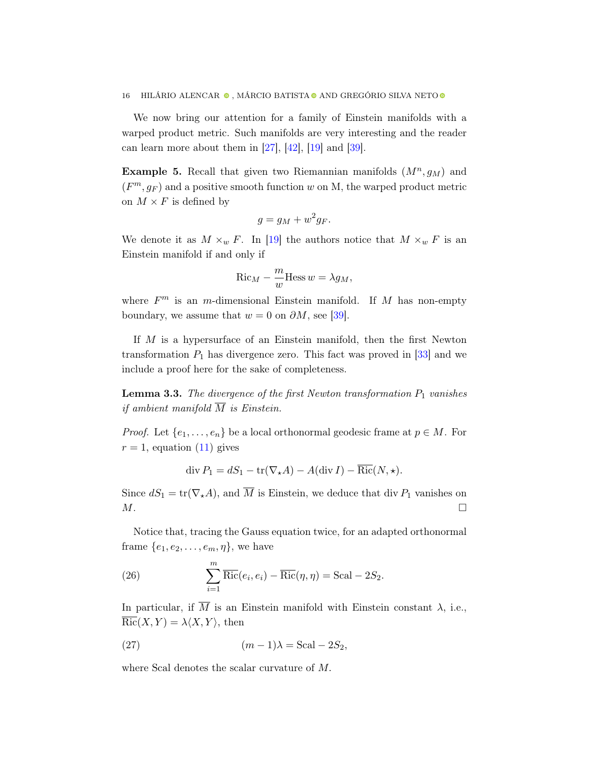We now bring our attention for a family of Einstein manifolds with a warped product metric. Such manifolds are very interesting and the reader can learn more about them in  $[27]$ ,  $[42]$ ,  $[19]$  and  $[39]$ .

**Example 5.** Recall that given two Riemannian manifolds  $(M^n, g_M)$  and  $(F<sup>m</sup>, g<sub>F</sub>)$  and a positive smooth function w on M, the warped product metric on  $M\times F$  is defined by

$$
g = g_M + w^2 g_F.
$$

We denote it as  $M \times_w F$ . In [\[19\]](#page-23-10) the authors notice that  $M \times_w F$  is an Einstein manifold if and only if

$$
\operatorname{Ric}_M - \frac{m}{w} \operatorname{Hess} w = \lambda g_M,
$$

where  $F<sup>m</sup>$  is an m-dimensional Einstein manifold. If M has non-empty boundary, we assume that  $w = 0$  on  $\partial M$ , see [\[39\]](#page-24-12).

If  $M$  is a hypersurface of an Einstein manifold, then the first Newton transformation  $P_1$  has divergence zero. This fact was proved in [\[33\]](#page-24-13) and we include a proof here for the sake of completeness.

<span id="page-15-0"></span>**Lemma 3.3.** The divergence of the first Newton transformation  $P_1$  vanishes if ambient manifold  $\overline{M}$  is Einstein.

*Proof.* Let  $\{e_1, \ldots, e_n\}$  be a local orthonormal geodesic frame at  $p \in M$ . For  $r = 1$ , equation [\(11\)](#page-9-3) gives

$$
\operatorname{div} P_1 = dS_1 - \operatorname{tr}(\nabla_{\star} A) - A(\operatorname{div} I) - \overline{\operatorname{Ric}}(N, \star).
$$

Since  $dS_1 = \text{tr}(\nabla_{\star}A)$ , and  $\overline{M}$  is Einstein, we deduce that div  $P_1$  vanishes on  $M$ .

Notice that, tracing the Gauss equation twice, for an adapted orthonormal frame  $\{e_1, e_2, \ldots, e_m, \eta\}$ , we have

(26) 
$$
\sum_{i=1}^{m} \overline{\text{Ric}}(e_i, e_i) - \overline{\text{Ric}}(\eta, \eta) = \text{Scal} - 2S_2.
$$

In particular, if  $\overline{M}$  is an Einstein manifold with Einstein constant  $\lambda$ , i.e.,  $\overline{{\rm Ric}}(X, Y) = \lambda \langle X, Y \rangle$ , then

<span id="page-15-1"></span>(27) 
$$
(m-1)\lambda = \text{Scal} - 2S_2,
$$

where Scal denotes the scalar curvature of M.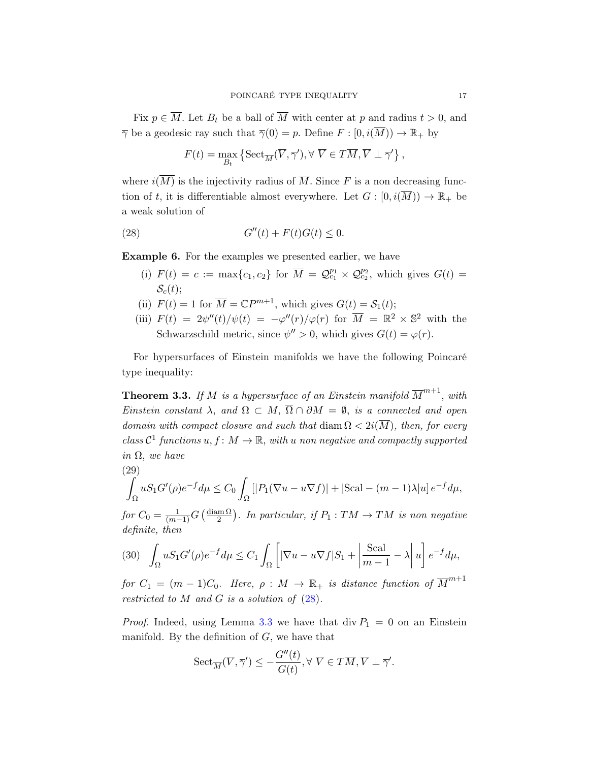Fix  $p \in \overline{M}$ . Let  $B_t$  be a ball of  $\overline{M}$  with center at p and radius  $t > 0$ , and  $\overline{\gamma}$  be a geodesic ray such that  $\overline{\gamma}(0) = p$ . Define  $F : [0, i(\overline{M})) \to \mathbb{R}_+$  by

<span id="page-16-0"></span>
$$
F(t) = \max_{B_t} \left\{ \mathrm{Sect}_{\overline{M}}(\overline{V}, \overline{\gamma}'), \forall \ \overline{V} \in T\overline{M}, \overline{V} \perp \overline{\gamma}' \right\},\,
$$

where  $i(\overline{M})$  is the injectivity radius of  $\overline{M}$ . Since F is a non decreasing function of t, it is differentiable almost everywhere. Let  $G : [0, i(\overline{M})) \to \mathbb{R}_+$  be a weak solution of

$$
(28) \tG''(t) + F(t)G(t) \le 0.
$$

Example 6. For the examples we presented earlier, we have

- (i)  $F(t) = c := \max\{c_1, c_2\}$  for  $\overline{M} = \mathcal{Q}_{c_1}^{p_1} \times \mathcal{Q}_{c_2}^{p_2}$ , which gives  $G(t) =$  $S<sub>c</sub>(t)$ ;
- (ii)  $F(t) = 1$  for  $\overline{M} = \mathbb{C}P^{m+1}$ , which gives  $G(t) = S_1(t)$ ;
- (iii)  $F(t) = 2\psi''(t)/\psi(t) = -\varphi''(r)/\varphi(r)$  for  $\overline{M} = \mathbb{R}^2 \times \mathbb{S}^2$  with the Schwarzschild metric, since  $\psi'' > 0$ , which gives  $G(t) = \varphi(r)$ .

For hypersurfaces of Einstein manifolds we have the following Poincaré type inequality:

**Theorem 3.3.** If M is a hypersurface of an Einstein manifold  $\overline{M}^{m+1}$ , with Einstein constant  $\lambda$ , and  $\Omega \subset M$ ,  $\overline{\Omega} \cap \partial M = \emptyset$ , is a connected and open domain with compact closure and such that  $\text{diam }\Omega < 2i(\overline{M})$ , then, for every class  $C^1$  functions  $u, f: M \to \mathbb{R}$ , with u non negative and compactly supported in  $\Omega$ , we have

<span id="page-16-1"></span>(29)  
\n
$$
\int_{\Omega} u S_1 G'(\rho) e^{-f} d\mu \leq C_0 \int_{\Omega} |P_1(\nabla u - u \nabla f)| + |\text{Scal} - (m-1)\lambda| u e^{-f} d\mu,
$$

for  $C_0 = \frac{1}{(m-1)}G\left(\frac{\text{diam}\,\Omega}{2}\right)$  $\frac{\text{Im}\,\Omega}{2}$ ). In particular, if  $P_1: TM \rightarrow TM$  is non negative definite, then

<span id="page-16-2"></span>(30) 
$$
\int_{\Omega} u S_1 G'(\rho) e^{-f} d\mu \leq C_1 \int_{\Omega} \left[ |\nabla u - u \nabla f| S_1 + \left| \frac{\text{Scal}}{m-1} - \lambda \right| u \right] e^{-f} d\mu,
$$

for  $C_1 = (m-1)C_0$ . Here,  $\rho : M \to \mathbb{R}_+$  is distance function of  $\overline{M}^{m+1}$ restricted to  $M$  and  $G$  is a solution of  $(28)$ .

*Proof.* Indeed, using Lemma [3.3](#page-15-0) we have that div  $P_1 = 0$  on an Einstein manifold. By the definition of  $G$ , we have that

$$
{\rm Sect}_{\overline{M}}(\overline{V},\overline{\gamma}')\le -\frac{G''(t)}{G(t)}, \forall \ \overline{V}\in T\overline{M}, \overline{V}\perp \overline{\gamma}'.
$$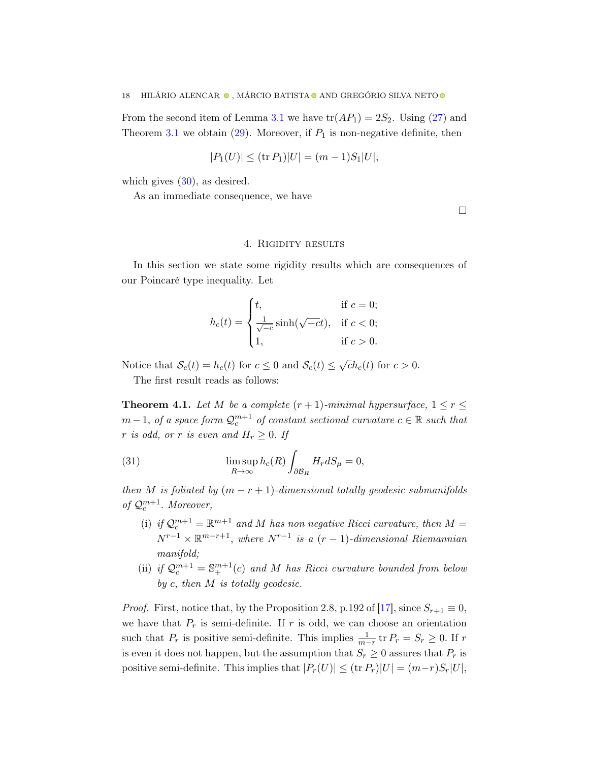From the second item of Lemma [3.1](#page-8-2) we have  $\text{tr}(AP_1) = 2S_2$ . Using [\(27\)](#page-15-1) and Theorem [3.1](#page-6-1) we obtain  $(29)$ . Moreover, if  $P_1$  is non-negative definite, then

$$
|P_1(U)| \leq (\operatorname{tr} P_1)|U| = (m-1)S_1|U|,
$$

which gives  $(30)$ , as desired.

As an immediate consequence, we have

□

# 4. Rigidity results

<span id="page-17-0"></span>In this section we state some rigidity results which are consequences of our Poincaré type inequality. Let

$$
h_c(t) = \begin{cases} t, & \text{if } c = 0; \\ \frac{1}{\sqrt{-c}} \sinh(\sqrt{-c}t), & \text{if } c < 0; \\ 1, & \text{if } c > 0. \end{cases}
$$

Notice that  $S_c(t) = h_c(t)$  for  $c \leq 0$  and  $S_c(t) \leq \sqrt{c}h_c(t)$  for  $c > 0$ .

The first result reads as follows:

<span id="page-17-1"></span>**Theorem 4.1.** Let M be a complete  $(r + 1)$ -minimal hypersurface,  $1 \le r \le$  $m-1$ , of a space form  $\mathcal{Q}_c^{m+1}$  of constant sectional curvature  $c \in \mathbb{R}$  such that r is odd, or r is even and  $H_r \geq 0$ . If

(31) 
$$
\limsup_{R \to \infty} h_c(R) \int_{\partial \mathcal{B}_R} H_r dS_\mu = 0,
$$

then M is foliated by  $(m - r + 1)$ -dimensional totally geodesic submanifolds of  $\mathcal{Q}_c^{m+1}$ . Moreover,

- (i) if  $\mathcal{Q}_c^{m+1} = \mathbb{R}^{m+1}$  and M has non negative Ricci curvature, then  $M =$  $N^{r-1} \times \mathbb{R}^{m-r+1}$ , where  $N^{r-1}$  is a  $(r-1)$ -dimensional Riemannian manifold;
- (ii) if  $Q_c^{m+1} = \mathbb{S}_+^{m+1}(c)$  and M has Ricci curvature bounded from below by c, then M is totally geodesic.

*Proof.* First, notice that, by the Proposition 2.8, p.192 of [\[17\]](#page-23-6), since  $S_{r+1} \equiv 0$ , we have that  $P_r$  is semi-definite. If r is odd, we can choose an orientation such that  $P_r$  is positive semi-definite. This implies  $\frac{1}{m-r}$  tr  $P_r = S_r \ge 0$ . If r is even it does not happen, but the assumption that  $S_r \geq 0$  assures that  $P_r$  is positive semi-definite. This implies that  $|P_r(U)| \leq (\text{tr } P_r)|U| = (m-r)S_r|U|$ ,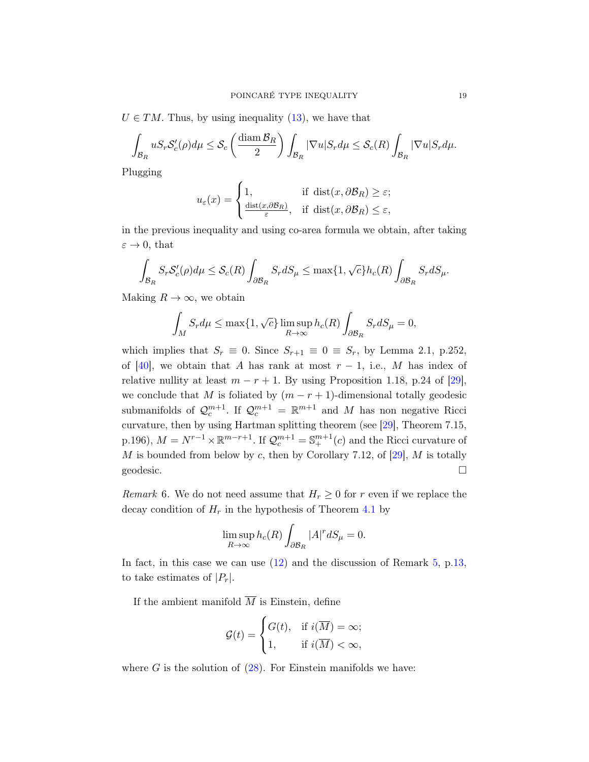$U \in TM$ . Thus, by using inequality [\(13\)](#page-9-1), we have that

$$
\int_{\mathcal{B}_R} u S_r \mathcal{S}'_c(\rho) d\mu \leq \mathcal{S}_c \left( \frac{\text{diam } \mathcal{B}_R}{2} \right) \int_{\mathcal{B}_R} |\nabla u| S_r d\mu \leq \mathcal{S}_c(R) \int_{\mathcal{B}_R} |\nabla u| S_r d\mu.
$$

Plugging

$$
u_{\varepsilon}(x) = \begin{cases} 1, & \text{if } \operatorname{dist}(x, \partial \mathcal{B}_R) \ge \varepsilon; \\ \frac{\operatorname{dist}(x, \partial \mathcal{B}_R)}{\varepsilon}, & \text{if } \operatorname{dist}(x, \partial \mathcal{B}_R) \le \varepsilon, \end{cases}
$$

in the previous inequality and using co-area formula we obtain, after taking  $\varepsilon \to 0$ , that

$$
\int_{\mathcal{B}_R} S_r \mathcal{S}'_c(\rho) d\mu \leq \mathcal{S}_c(R) \int_{\partial \mathcal{B}_R} S_r dS_\mu \leq \max\{1, \sqrt{c}\} h_c(R) \int_{\partial \mathcal{B}_R} S_r dS_\mu.
$$

Making  $R \to \infty$ , we obtain

$$
\int_M S_r d\mu \le \max\{1, \sqrt{c}\} \limsup_{R \to \infty} h_c(R) \int_{\partial \mathcal{B}_R} S_r dS_\mu = 0,
$$

which implies that  $S_r \equiv 0$ . Since  $S_{r+1} \equiv 0 \equiv S_r$ , by Lemma 2.1, p.252, of [\[40\]](#page-24-14), we obtain that A has rank at most  $r-1$ , i.e., M has index of relative nullity at least  $m - r + 1$ . By using Proposition 1.18, p.24 of [\[29\]](#page-23-11), we conclude that M is foliated by  $(m - r + 1)$ -dimensional totally geodesic submanifolds of  $\mathcal{Q}_c^{m+1}$ . If  $\mathcal{Q}_c^{m+1} = \mathbb{R}^{m+1}$  and M has non negative Ricci curvature, then by using Hartman splitting theorem (see [\[29\]](#page-23-11), Theorem 7.15, p.196),  $M = N^{r-1} \times \mathbb{R}^{m-r+1}$ . If  $\mathcal{Q}_c^{m+1} = \mathbb{S}_+^{m+1}(c)$  and the Ricci curvature of  $M$  is bounded from below by  $c$ , then by Corollary 7.12, of  $[29]$ ,  $M$  is totally geodesic.  $\Box$ 

*Remark* 6. We do not need assume that  $H_r \geq 0$  for r even if we replace the decay condition of  $H_r$  in the hypothesis of Theorem [4.1](#page-17-1) by

$$
\limsup_{R \to \infty} h_c(R) \int_{\partial \mathcal{B}_R} |A|^r dS_\mu = 0.
$$

In fact, in this case we can use [\(12\)](#page-9-0) and the discussion of Remark [5,](#page-12-4) p[.13,](#page-12-4) to take estimates of  $|P_r|$ .

If the ambient manifold  $\overline{M}$  is Einstein, define

$$
\mathcal{G}(t) = \begin{cases} G(t), & \text{if } i(\overline{M}) = \infty; \\ 1, & \text{if } i(\overline{M}) < \infty, \end{cases}
$$

where  $G$  is the solution of  $(28)$ . For Einstein manifolds we have: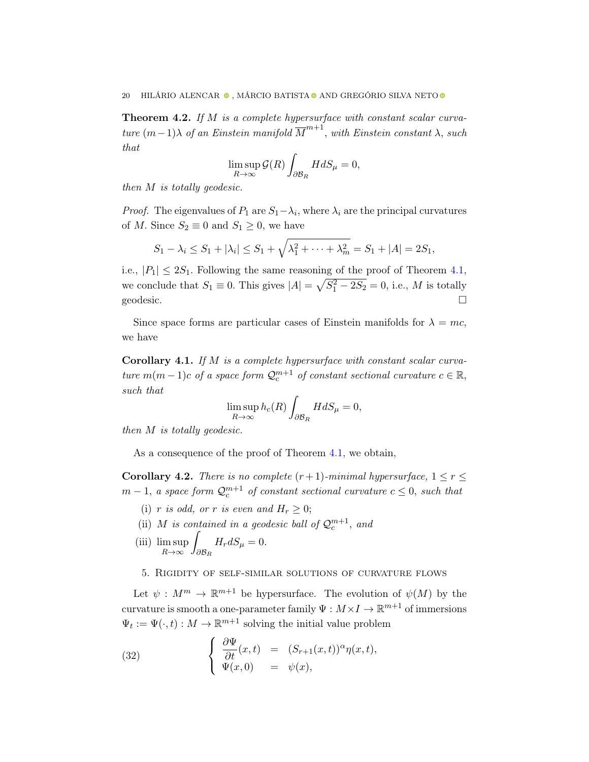Theorem 4.2. If M is a complete hypersurface with constant scalar curvature  $(m-1)\lambda$  of an Einstein manifold  $\overline{M}^{m+1}$ , with Einstein constant  $\lambda$ , such that

$$
\limsup_{R \to \infty} \mathcal{G}(R) \int_{\partial \mathcal{B}_R} H dS_\mu = 0,
$$

then M is totally geodesic.

*Proof.* The eigenvalues of  $P_1$  are  $S_1 - \lambda_i$ , where  $\lambda_i$  are the principal curvatures of M. Since  $S_2 \equiv 0$  and  $S_1 \geq 0$ , we have

$$
S_1 - \lambda_i \leq S_1 + |\lambda_i| \leq S_1 + \sqrt{\lambda_1^2 + \cdots + \lambda_m^2} = S_1 + |A| = 2S_1,
$$

i.e.,  $|P_1| \leq 2S_1$ . Following the same reasoning of the proof of Theorem [4.1,](#page-17-1) we conclude that  $S_1 \equiv 0$ . This gives  $|A| = \sqrt{S_1^2 - 2S_2} = 0$ , i.e., M is totally geodesic.  $\Box$ 

Since space forms are particular cases of Einstein manifolds for  $\lambda = mc$ , we have

Corollary 4.1. If M is a complete hypersurface with constant scalar curvature  $m(m-1)c$  of a space form  $\mathcal{Q}_c^{m+1}$  of constant sectional curvature  $c \in \mathbb{R}$ , such that

$$
\limsup_{R \to \infty} h_c(R) \int_{\partial \mathcal{B}_R} H dS_\mu = 0,
$$

then M is totally geodesic.

As a consequence of the proof of Theorem [4.1,](#page-17-1) we obtain,

**Corollary 4.2.** There is no complete  $(r + 1)$ -minimal hypersurface,  $1 \le r \le$  $m-1$ , a space form  $\mathcal{Q}_c^{m+1}$  of constant sectional curvature  $c \leq 0$ , such that

- (i) r is odd, or r is even and  $H_r \geq 0$ ;
- (ii) M is contained in a geodesic ball of  $\mathcal{Q}_c^{m+1}$ , and
- (iii) lim sup  $R\rightarrow\infty$ Z  $\partial {\cal B}_R$  $H_r dS_\mu = 0.$

#### <span id="page-19-0"></span>5. Rigidity of self-similar solutions of curvature flows

Let  $\psi : M^m \to \mathbb{R}^{m+1}$  be hypersurface. The evolution of  $\psi(M)$  by the curvature is smooth a one-parameter family  $\Psi : M \times I \to \mathbb{R}^{m+1}$  of immersions  $\Psi_t := \Psi(\cdot, t) : M \to \mathbb{R}^{m+1}$  solving the initial value problem

<span id="page-19-1"></span>(32) 
$$
\begin{cases} \frac{\partial \Psi}{\partial t}(x,t) = (S_{r+1}(x,t))^{\alpha} \eta(x,t), \\ \Psi(x,0) = \psi(x), \end{cases}
$$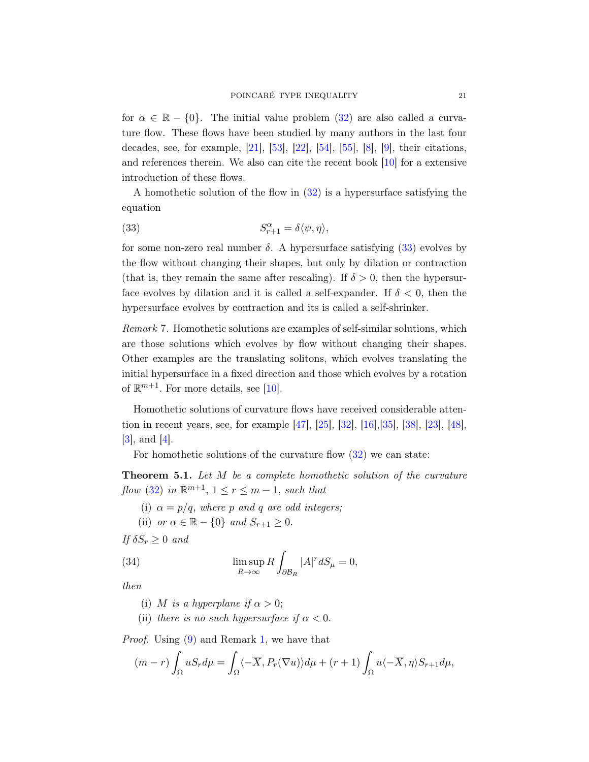for  $\alpha \in \mathbb{R} - \{0\}$ . The initial value problem [\(32\)](#page-19-1) are also called a curvature flow. These flows have been studied by many authors in the last four decades, see, for example, [\[21\]](#page-23-12), [\[53\]](#page-25-1), [\[22\]](#page-23-13), [\[54\]](#page-25-2), [\[55\]](#page-25-3), [\[8\]](#page-22-6), [\[9\]](#page-22-7), their citations, and references therein. We also can cite the recent book [\[10\]](#page-22-8) for a extensive introduction of these flows.

A homothetic solution of the flow in [\(32\)](#page-19-1) is a hypersurface satisfying the equation

<span id="page-20-0"></span>(33) 
$$
S_{r+1}^{\alpha} = \delta \langle \psi, \eta \rangle,
$$

for some non-zero real number  $\delta$ . A hypersurface satisfying [\(33\)](#page-20-0) evolves by the flow without changing their shapes, but only by dilation or contraction (that is, they remain the same after rescaling). If  $\delta > 0$ , then the hypersurface evolves by dilation and it is called a self-expander. If  $\delta < 0$ , then the hypersurface evolves by contraction and its is called a self-shrinker.

Remark 7. Homothetic solutions are examples of self-similar solutions, which are those solutions which evolves by flow without changing their shapes. Other examples are the translating solitons, which evolves translating the initial hypersurface in a fixed direction and those which evolves by a rotation of  $\mathbb{R}^{m+1}$ . For more details, see [\[10\]](#page-22-8).

Homothetic solutions of curvature flows have received considerable attention in recent years, see, for example [\[47\]](#page-24-15), [\[25\]](#page-23-14), [\[32\]](#page-23-15), [\[16\]](#page-23-16),[\[35\]](#page-24-16), [\[38\]](#page-24-17), [\[23\]](#page-23-17), [\[48\]](#page-24-18),  $|3|$ , and  $|4|$ .

For homothetic solutions of the curvature flow [\(32\)](#page-19-1) we can state:

<span id="page-20-1"></span>Theorem 5.1. Let M be a complete homothetic solution of the curvature flow [\(32\)](#page-19-1) in  $\mathbb{R}^{m+1}$ ,  $1 \leq r \leq m-1$ , such that

(i)  $\alpha = p/q$ , where p and q are odd integers;

(ii) or 
$$
\alpha \in \mathbb{R} - \{0\}
$$
 and  $S_{r+1} \geq 0$ .

If  $\delta S_r \geq 0$  and

(34) 
$$
\limsup_{R \to \infty} R \int_{\partial \mathcal{B}_R} |A|^r dS_\mu = 0,
$$

then

(i) M is a hyperplane if  $\alpha > 0$ ;

(ii) there is no such hypersurface if  $\alpha < 0$ .

Proof. Using [\(9\)](#page-7-0) and Remark [1,](#page-5-0) we have that

$$
(m-r)\int_{\Omega} uS_r d\mu = \int_{\Omega} \langle -\overline{X}, P_r(\nabla u) \rangle d\mu + (r+1)\int_{\Omega} u \langle -\overline{X}, \eta \rangle S_{r+1} d\mu,
$$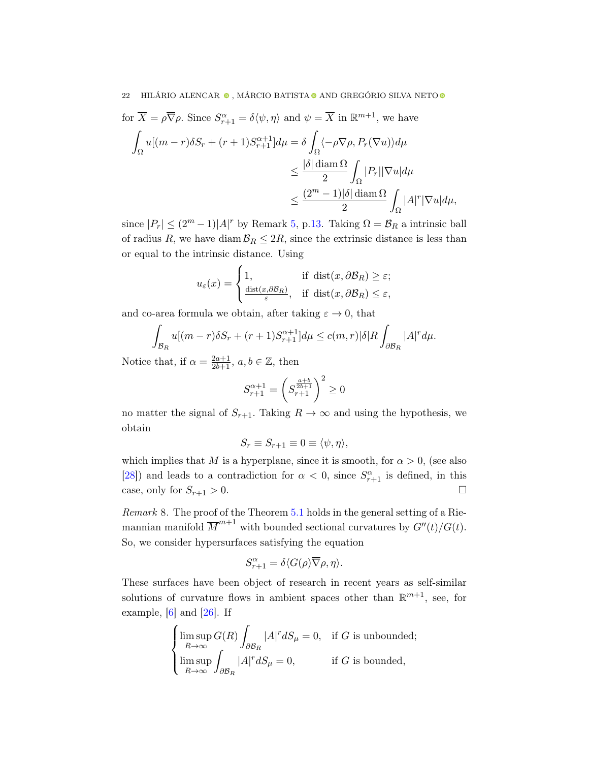for 
$$
\overline{X} = \rho \overline{\nabla} \rho
$$
. Since  $S_{r+1}^{\alpha} = \delta \langle \psi, \eta \rangle$  and  $\psi = \overline{X}$  in  $\mathbb{R}^{m+1}$ , we have  
\n
$$
\int_{\Omega} u[(m-r)\delta S_r + (r+1)S_{r+1}^{\alpha+1}] d\mu = \delta \int_{\Omega} \langle -\rho \nabla \rho, P_r(\nabla u) \rangle d\mu
$$
\n
$$
\leq \frac{|\delta| \operatorname{diam} \Omega}{2} \int_{\Omega} |P_r| |\nabla u| d\mu
$$
\n
$$
\leq \frac{(2^m - 1)|\delta| \operatorname{diam} \Omega}{2} \int_{\Omega} |A|^r |\nabla u| d\mu,
$$

since  $|P_r| \leq (2^m - 1)|A|^r$  by Remark [5,](#page-12-4) p[.13.](#page-12-4) Taking  $\Omega = \mathcal{B}_R$  a intrinsic ball of radius R, we have diam  $\mathcal{B}_R \leq 2R$ , since the extrinsic distance is less than or equal to the intrinsic distance. Using

$$
u_{\varepsilon}(x) = \begin{cases} 1, & \text{if } \operatorname{dist}(x, \partial \mathcal{B}_R) \ge \varepsilon; \\ \frac{\operatorname{dist}(x, \partial \mathcal{B}_R)}{\varepsilon}, & \text{if } \operatorname{dist}(x, \partial \mathcal{B}_R) \le \varepsilon, \end{cases}
$$

and co-area formula we obtain, after taking  $\varepsilon \to 0$ , that

$$
\int_{\mathcal{B}_R} u[(m-r)\delta S_r + (r+1)S_{r+1}^{\alpha+1}]d\mu \le c(m,r)|\delta|R \int_{\partial \mathcal{B}_R} |A|^r d\mu.
$$

Notice that, if  $\alpha = \frac{2a+1}{2b+1}$ ,  $a, b \in \mathbb{Z}$ , then

$$
S_{r+1}^{\alpha+1} = \left(S_{r+1}^{\frac{a+b}{2b+1}}\right)^2 \ge 0
$$

no matter the signal of  $S_{r+1}$ . Taking  $R \to \infty$  and using the hypothesis, we obtain

$$
S_r \equiv S_{r+1} \equiv 0 \equiv \langle \psi, \eta \rangle,
$$

which implies that M is a hyperplane, since it is smooth, for  $\alpha > 0$ , (see also [\[28\]](#page-23-18)) and leads to a contradiction for  $\alpha < 0$ , since  $S_{r+1}^{\alpha}$  is defined, in this case, only for  $S_{r+1} > 0$ .

Remark 8. The proof of the Theorem [5.1](#page-20-1) holds in the general setting of a Riemannian manifold  $\overline{M}^{m+1}$  with bounded sectional curvatures by  $G''(t)/G(t)$ . So, we consider hypersurfaces satisfying the equation

$$
S_{r+1}^{\alpha} = \delta \langle G(\rho) \overline{\nabla} \rho, \eta \rangle.
$$

These surfaces have been object of research in recent years as self-similar solutions of curvature flows in ambient spaces other than  $\mathbb{R}^{m+1}$ , see, for example,  $[6]$  and  $[26]$ . If

$$
\begin{cases}\n\limsup_{R \to \infty} G(R) \int_{\partial \mathcal{B}_R} |A|^r dS_\mu = 0, & \text{if } G \text{ is unbounded;} \\
\limsup_{R \to \infty} \int_{\partial \mathcal{B}_R} |A|^r dS_\mu = 0, & \text{if } G \text{ is bounded,}\n\end{cases}
$$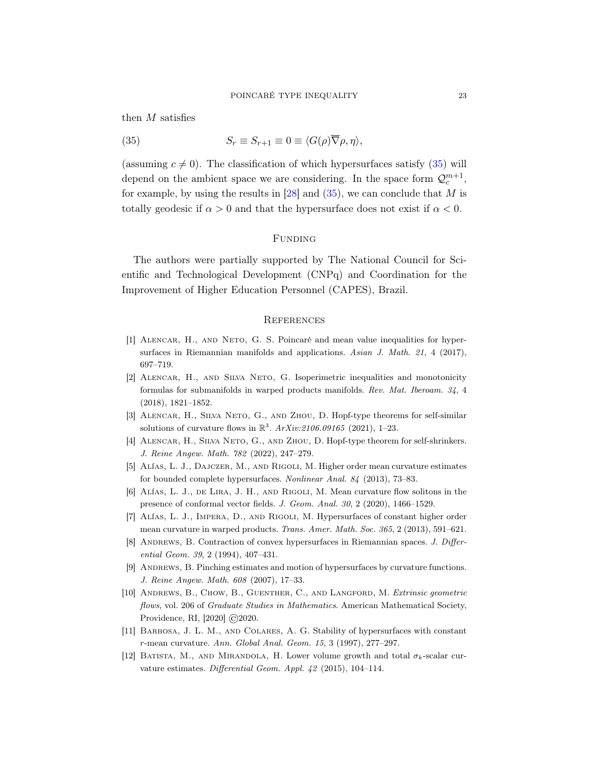then  $\cal M$  satisfies

<span id="page-22-12"></span>(35) 
$$
S_r \equiv S_{r+1} \equiv 0 \equiv \langle G(\rho) \overline{\nabla} \rho, \eta \rangle,
$$

(assuming  $c \neq 0$ ). The classification of which hypersurfaces satisfy [\(35\)](#page-22-12) will depend on the ambient space we are considering. In the space form  $\mathcal{Q}_c^{m+1}$ , for example, by using the results in  $[28]$  and  $(35)$ , we can conclude that M is totally geodesic if  $\alpha > 0$  and that the hypersurface does not exist if  $\alpha < 0$ .

## FUNDING

The authors were partially supported by The National Council for Scientific and Technological Development (CNPq) and Coordination for the Improvement of Higher Education Personnel (CAPES), Brazil.

## **REFERENCES**

- <span id="page-22-0"></span>[1] Alencar, H., and Neto, G. S. Poincaré and mean value inequalities for hypersurfaces in Riemannian manifolds and applications. Asian J. Math. 21, 4 (2017), 697–719.
- <span id="page-22-5"></span>[2] Alencar, H., and Silva Neto, G. Isoperimetric inequalities and monotonicity formulas for submanifolds in warped products manifolds. Rev. Mat. Iberoam. 34, 4 (2018), 1821–1852.
- <span id="page-22-9"></span>[3] Alencar, H., Silva Neto, G., and Zhou, D. Hopf-type theorems for self-similar solutions of curvature flows in  $\mathbb{R}^3$ .  $ArXiv:2106.09165$  (2021), 1-23.
- <span id="page-22-10"></span>[4] Alencar, H., Silva Neto, G., and Zhou, D. Hopf-type theorem for self-shrinkers. J. Reine Angew. Math. 782 (2022), 247–279.
- <span id="page-22-2"></span>[5] Alías, L. J., Dajczer, M., and Rigoli, M. Higher order mean curvature estimates for bounded complete hypersurfaces. Nonlinear Anal. 84 (2013), 73–83.
- <span id="page-22-11"></span>[6] Alías, L. J., de Lira, J. H., and Rigoli, M. Mean curvature flow solitons in the presence of conformal vector fields. J. Geom. Anal. 30, 2 (2020), 1466–1529.
- <span id="page-22-3"></span>[7] Alías, L. J., Impera, D., and Rigoli, M. Hypersurfaces of constant higher order mean curvature in warped products. Trans. Amer. Math. Soc. 365, 2 (2013), 591–621.
- <span id="page-22-6"></span>[8] ANDREWS, B. Contraction of convex hypersurfaces in Riemannian spaces. J. Differential Geom. 39, 2 (1994), 407–431.
- <span id="page-22-7"></span>[9] Andrews, B. Pinching estimates and motion of hypersurfaces by curvature functions. J. Reine Angew. Math. 608 (2007), 17–33.
- <span id="page-22-8"></span>[10] ANDREWS, B., CHOW, B., GUENTHER, C., AND LANGFORD, M. Extrinsic geometric flows, vol. 206 of Graduate Studies in Mathematics. American Mathematical Society, Providence, RI, [2020] ©2020.
- <span id="page-22-4"></span>[11] Barbosa, J. L. M., and Colares, A. G. Stability of hypersurfaces with constant r-mean curvature. Ann. Global Anal. Geom. 15, 3 (1997), 277–297.
- <span id="page-22-1"></span>[12] BATISTA, M., AND MIRANDOLA, H. Lower volume growth and total  $\sigma_k$ -scalar curvature estimates. Differential Geom. Appl. 42 (2015), 104–114.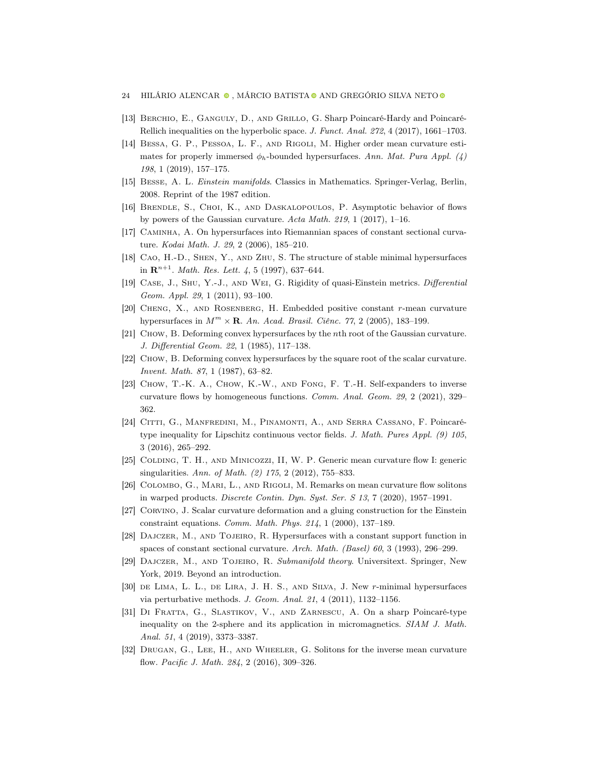- 24 HILÁRIO ALENCAR $\bullet$ , MÁRCIO BATISTA $\bullet$  AND GREGÓRIO SILVA NETO  $\bullet$
- <span id="page-23-1"></span>[13] Berchio, E., Ganguly, D., and Grillo, G. Sharp Poincaré-Hardy and Poincaré-Rellich inequalities on the hyperbolic space. J. Funct. Anal. 272, 4 (2017), 1661–1703.
- <span id="page-23-5"></span>[14] Bessa, G. P., Pessoa, L. F., and Rigoli, M. Higher order mean curvature estimates for properly immersed  $\phi_h$ -bounded hypersurfaces. Ann. Mat. Pura Appl. (4) 198, 1 (2019), 157–175.
- <span id="page-23-8"></span>[15] Besse, A. L. Einstein manifolds. Classics in Mathematics. Springer-Verlag, Berlin, 2008. Reprint of the 1987 edition.
- <span id="page-23-16"></span>[16] Brendle, S., Choi, K., and Daskalopoulos, P. Asymptotic behavior of flows by powers of the Gaussian curvature. Acta Math. 219, 1 (2017), 1–16.
- <span id="page-23-6"></span>[17] Caminha, A. On hypersurfaces into Riemannian spaces of constant sectional curvature. Kodai Math. J. 29, 2 (2006), 185–210.
- <span id="page-23-3"></span>[18] Cao, H.-D., Shen, Y., and Zhu, S. The structure of stable minimal hypersurfaces in  $\mathbf{R}^{n+1}$ . *Math. Res. Lett.* 4, 5 (1997), 637–644.
- <span id="page-23-10"></span>[19] Case, J., Shu, Y.-J., and Wei, G. Rigidity of quasi-Einstein metrics. Differential Geom. Appl. 29, 1 (2011), 93–100.
- <span id="page-23-7"></span>[20] Cheng, X., and Rosenberg, H. Embedded positive constant r-mean curvature hypersurfaces in  $M^m \times \mathbf{R}$ . An. Acad. Brasil. Ciênc. 77, 2 (2005), 183-199.
- <span id="page-23-12"></span>[21] Chow, B. Deforming convex hypersurfaces by the nth root of the Gaussian curvature. J. Differential Geom. 22, 1 (1985), 117–138.
- <span id="page-23-13"></span>[22] Chow, B. Deforming convex hypersurfaces by the square root of the scalar curvature. Invent. Math. 87, 1 (1987), 63–82.
- <span id="page-23-17"></span>[23] Chow, T.-K. A., Chow, K.-W., and Fong, F. T.-H. Self-expanders to inverse curvature flows by homogeneous functions. Comm. Anal. Geom. 29, 2 (2021), 329– 362.
- <span id="page-23-2"></span>[24] Citti, G., Manfredini, M., Pinamonti, A., and Serra Cassano, F. Poincarétype inequality for Lipschitz continuous vector fields. J. Math. Pures Appl. (9) 105, 3 (2016), 265–292.
- <span id="page-23-14"></span>[25] Colding, T. H., and Minicozzi, II, W. P. Generic mean curvature flow I: generic singularities. Ann. of Math. (2) 175, 2 (2012), 755–833.
- <span id="page-23-19"></span>[26] Colombo, G., Mari, L., and Rigoli, M. Remarks on mean curvature flow solitons in warped products. Discrete Contin. Dyn. Syst. Ser. S 13, 7 (2020), 1957–1991.
- <span id="page-23-9"></span>[27] Corvino, J. Scalar curvature deformation and a gluing construction for the Einstein constraint equations. Comm. Math. Phys. 214, 1 (2000), 137–189.
- <span id="page-23-18"></span>[28] Dajczer, M., and Tojeiro, R. Hypersurfaces with a constant support function in spaces of constant sectional curvature. Arch. Math. (Basel) 60, 3 (1993), 296–299.
- <span id="page-23-11"></span>[29] Dajczer, M., and Tojeiro, R. Submanifold theory. Universitext. Springer, New York, 2019. Beyond an introduction.
- <span id="page-23-4"></span>[30] de Lima, L. L., de Lira, J. H. S., and Silva, J. New r-minimal hypersurfaces via perturbative methods. J. Geom. Anal. 21, 4 (2011), 1132–1156.
- <span id="page-23-0"></span>[31] Di Fratta, G., Slastikov, V., and Zarnescu, A. On a sharp Poincaré-type inequality on the 2-sphere and its application in micromagnetics. SIAM J. Math. Anal. 51, 4 (2019), 3373–3387.
- <span id="page-23-15"></span>[32] Drugan, G., Lee, H., and Wheeler, G. Solitons for the inverse mean curvature flow. Pacific J. Math. 284, 2 (2016), 309–326.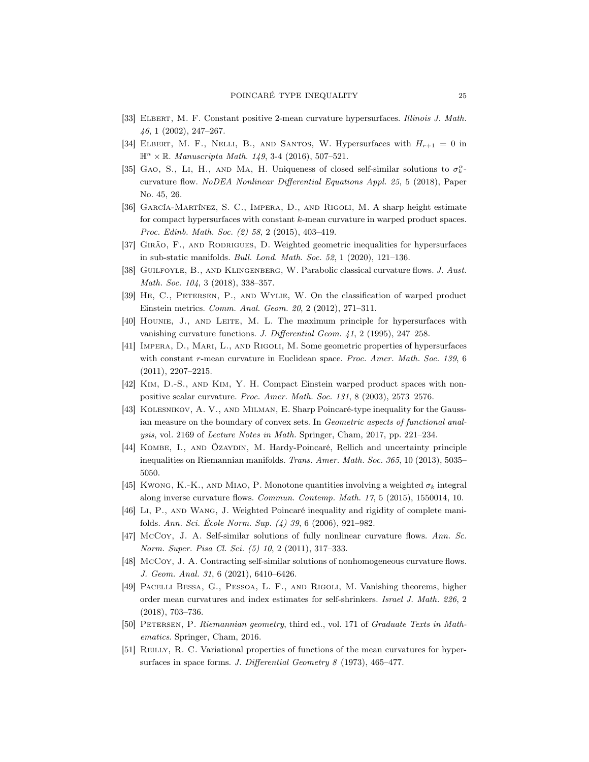- <span id="page-24-13"></span>[33] ELBERT, M. F. Constant positive 2-mean curvature hypersurfaces. Illinois J. Math. 46, 1 (2002), 247–267.
- <span id="page-24-3"></span>[34] ELBERT, M. F., NELLI, B., AND SANTOS, W. Hypersurfaces with  $H_{r+1} = 0$  in  $\mathbb{H}^n \times \mathbb{R}$ . Manuscripta Math. 149, 3-4 (2016), 507-521.
- <span id="page-24-16"></span>[35] GAO, S., LI, H., AND MA, H. Uniqueness of closed self-similar solutions to  $\sigma_k^{\alpha}$ . curvature flow. NoDEA Nonlinear Differential Equations Appl. 25, 5 (2018), Paper No. 45, 26.
- <span id="page-24-5"></span>[36] García-Martínez, S. C., Impera, D., and Rigoli, M. A sharp height estimate for compact hypersurfaces with constant k-mean curvature in warped product spaces. Proc. Edinb. Math. Soc. (2) 58, 2 (2015), 403–419.
- <span id="page-24-9"></span>[37] Girão, F., and Rodrigues, D. Weighted geometric inequalities for hypersurfaces in sub-static manifolds. Bull. Lond. Math. Soc. 52, 1 (2020), 121–136.
- <span id="page-24-17"></span>[38] GUILFOYLE, B., AND KLINGENBERG, W. Parabolic classical curvature flows. J. Aust. Math. Soc. 104, 3 (2018), 338–357.
- <span id="page-24-12"></span>[39] He, C., Petersen, P., and Wylie, W. On the classification of warped product Einstein metrics. Comm. Anal. Geom. 20, 2 (2012), 271–311.
- <span id="page-24-14"></span>[40] Hounie, J., and Leite, M. L. The maximum principle for hypersurfaces with vanishing curvature functions. J. Differential Geom. 41, 2 (1995), 247–258.
- <span id="page-24-4"></span>[41] Impera, D., Mari, L., and Rigoli, M. Some geometric properties of hypersurfaces with constant r-mean curvature in Euclidean space. Proc. Amer. Math. Soc. 139, 6 (2011), 2207–2215.
- <span id="page-24-11"></span>[42] Kim, D.-S., and Kim, Y. H. Compact Einstein warped product spaces with nonpositive scalar curvature. Proc. Amer. Math. Soc. 131, 8 (2003), 2573–2576.
- <span id="page-24-0"></span>[43] Kolesnikov, A. V., and Milman, E. Sharp Poincaré-type inequality for the Gaussian measure on the boundary of convex sets. In Geometric aspects of functional analysis, vol. 2169 of Lecture Notes in Math. Springer, Cham, 2017, pp. 221–234.
- <span id="page-24-1"></span>[44] Kombe, I., and Özaydin, M. Hardy-Poincaré, Rellich and uncertainty principle inequalities on Riemannian manifolds. Trans. Amer. Math. Soc. 365, 10 (2013), 5035– 5050.
- <span id="page-24-8"></span>[45] Kwong, K.-K., and Miao, P. Monotone quantities involving a weighted  $\sigma_k$  integral along inverse curvature flows. Commun. Contemp. Math. 17, 5 (2015), 1550014, 10.
- <span id="page-24-2"></span>[46] Li, P., and Wang, J. Weighted Poincaré inequality and rigidity of complete manifolds. Ann. Sci. École Norm. Sup. (4) 39, 6 (2006), 921–982.
- <span id="page-24-15"></span>[47] McCoy, J. A. Self-similar solutions of fully nonlinear curvature flows. Ann. Sc. Norm. Super. Pisa Cl. Sci. (5) 10, 2 (2011), 317–333.
- <span id="page-24-18"></span>[48] McCoy, J. A. Contracting self-similar solutions of nonhomogeneous curvature flows. J. Geom. Anal. 31, 6 (2021), 6410–6426.
- <span id="page-24-6"></span>[49] Pacelli Bessa, G., Pessoa, L. F., and Rigoli, M. Vanishing theorems, higher order mean curvatures and index estimates for self-shrinkers. Israel J. Math. 226, 2 (2018), 703–736.
- <span id="page-24-10"></span>[50] Petersen, P. Riemannian geometry, third ed., vol. 171 of Graduate Texts in Mathematics. Springer, Cham, 2016.
- <span id="page-24-7"></span>[51] REILLY, R. C. Variational properties of functions of the mean curvatures for hypersurfaces in space forms. J. Differential Geometry 8 (1973), 465-477.